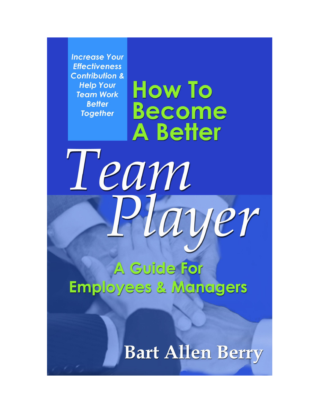**Increase Your Effectiveness Contribution & Help Your Team Work Better Together** 

Team

**How To Become A Better** 

**A Guide For Employees & Managers** 

**Bart Allen Berry** 

uver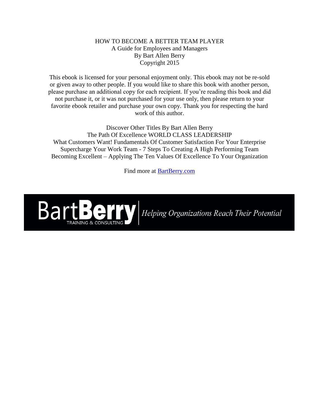#### HOW TO BECOME A BETTER TEAM PLAYER A Guide for Employees and Managers By Bart Allen Berry Copyright 2015

This ebook is licensed for your personal enjoyment only. This ebook may not be re-sold or given away to other people. If you would like to share this book with another person, please purchase an additional copy for each recipient. If you're reading this book and did not purchase it, or it was not purchased for your use only, then please return to your favorite ebook retailer and purchase your own copy. Thank you for respecting the hard work of this author.

Discover Other Titles By Bart Allen Berry The Path Of Excellence WORLD CLASS LEADERSHIP What Customers Want! Fundamentals Of Customer Satisfaction For Your Enterprise Supercharge Your Work Team - 7 Steps To Creating A High Performing Team Becoming Excellent – Applying The Ten Values Of Excellence To Your Organization

Find more at [BartBerry.com](http://www.bartberry.com/)



Helping Organizations Reach Their Potential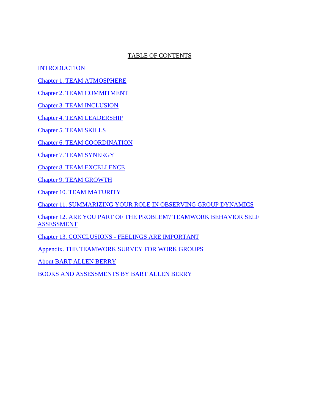## TABLE OF CONTENTS

<span id="page-2-1"></span>**[INTRODUCTION](#page-2-0)** 

[Chapter 1. TEAM ATMOSPHERE](#page-6-0)

[Chapter 2. TEAM COMMITMENT](#page-10-0)

Chapter 3. [TEAM INCLUSION](#page-14-0)

[Chapter 4. TEAM LEADERSHIP](#page-19-0)

Chapter 5. [TEAM SKILLS](#page-23-0)

Chapter 6. [TEAM COORDINATION](#page-28-0)

Chapter 7. [TEAM SYNERGY](#page-33-0)

Chapter 8. [TEAM EXCELLENCE](#page-36-0)

Chapter 9. [TEAM GROWTH](#page-39-0)

Chapter 10. [TEAM MATURITY](#page-43-0)

[Chapter 11. SUMMARIZING YOUR ROLE IN OBSERVING GROUP DYNAMICS](#page-47-0)

[Chapter 12. ARE YOU PART OF THE PROBLEM?](#page-48-0) TEAMWORK BEHAVIOR SELF [ASSESSMENT](#page-48-0)

Chapter 13. CONCLUSIONS - [FEELINGS ARE IMPORTANT](#page-51-0)

[Appendix. THE TEAMWORK SURVEY FOR WORK GROUPS](#page-52-0)

[About BART ALLEN BERRY](#page-61-0)

<span id="page-2-0"></span>[BOOKS AND ASSESSMENTS BY BART ALLEN BERRY](#page-62-0)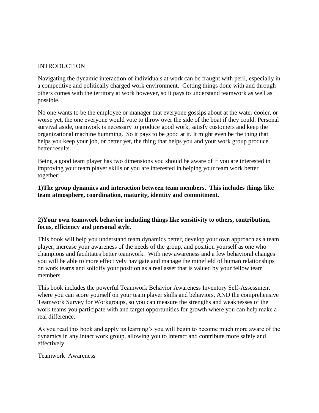#### INTRODUCTION

Navigating the dynamic interaction of individuals at work can be fraught with peril, especially in a competitive and politically charged work environment. Getting things done with and through others comes with the territory at work however, so it pays to understand teamwork as well as possible.

No one wants to be the employee or manager that everyone gossips about at the water cooler, or worse yet, the one everyone would vote to throw over the side of the boat if they could. Personal survival aside, teamwork is necessary to produce good work, satisfy customers and keep the organizational machine humming. So it pays to be good at it. It might even be the thing that helps you keep your job, or better yet, the thing that helps you and your work group produce better results.

Being a good team player has two dimensions you should be aware of if you are interested in improving your team player skills or you are interested in helping your team work better together:

**1)The group dynamics and interaction between team members. This includes things like team atmosphere, coordination, maturity, identity and commitment.**

## **2)Your own teamwork behavior including things like sensitivity to others, contribution, focus, efficiency and personal style.**

This book will help you understand team dynamics better, develop your own approach as a team player, increase your awareness of the needs of the group, and position yourself as one who champions and facilitates better teamwork. With new awareness and a few behavioral changes you will be able to more effectively navigate and manage the minefield of human relationships on work teams and solidify your position as a real asset that is valued by your fellow team members.

This book includes the powerful Teamwork Behavior Awareness Inventory Self-Assessment where you can score yourself on your team player skills and behaviors, AND the comprehensive Teamwork Survey for Workgroups, so you can measure the strengths and weaknesses of the work teams you participate with and target opportunities for growth where you can help make a real difference.

As you read this book and apply its learning's you will begin to become much more aware of the dynamics in any intact work group, allowing you to interact and contribute more safely and effectively.

Teamwork Awareness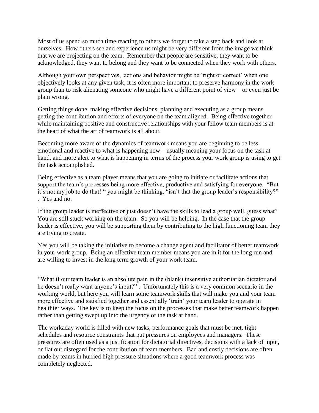Most of us spend so much time reacting to others we forget to take a step back and look at ourselves. How others see and experience us might be very different from the image we think that we are projecting on the team. Remember that people are sensitive, they want to be acknowledged, they want to belong and they want to be connected when they work with others.

Although your own perspectives, actions and behavior might be 'right or correct' when one objectively looks at any given task, it is often more important to preserve harmony in the work group than to risk alienating someone who might have a different point of view – or even just be plain wrong.

Getting things done, making effective decisions, planning and executing as a group means getting the contribution and efforts of everyone on the team aligned. Being effective together while maintaining positive and constructive relationships with your fellow team members is at the heart of what the art of teamwork is all about.

Becoming more aware of the dynamics of teamwork means you are beginning to be less emotional and reactive to what is happening now – usually meaning your focus on the task at hand, and more alert to what is happening in terms of the process your work group is using to get the task accomplished.

Being effective as a team player means that you are going to initiate or facilitate actions that support the team's processes being more effective, productive and satisfying for everyone. "But it's not my job to do that! " you might be thinking, "isn't that the group leader's responsibility?" . Yes and no.

If the group leader is ineffective or just doesn't have the skills to lead a group well, guess what? You are still stuck working on the team. So you will be helping. In the case that the group leader is effective, you will be supporting them by contributing to the high functioning team they are trying to create.

Yes you will be taking the initiative to become a change agent and facilitator of better teamwork in your work group. Being an effective team member means you are in it for the long run and are willing to invest in the long term growth of your work team.

"What if our team leader is an absolute pain in the (blank) insensitive authoritarian dictator and he doesn't really want anyone's input?" . Unfortunately this is a very common scenario in the working world, but here you will learn some teamwork skills that will make you and your team more effective and satisfied together and essentially 'train' your team leader to operate in healthier ways. The key is to keep the focus on the processes that make better teamwork happen rather than getting swept up into the urgency of the task at hand.

The workaday world is filled with new tasks, performance goals that must be met, tight schedules and resource constraints that put pressures on employees and managers. These pressures are often used as a justification for dictatorial directives, decisions with a lack of input, or flat out disregard for the contribution of team members. Bad and costly decisions are often made by teams in hurried high pressure situations where a good teamwork process was completely neglected.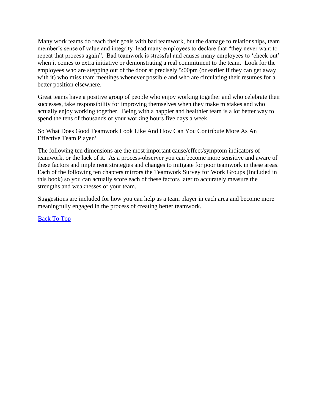Many work teams do reach their goals with bad teamwork, but the damage to relationships, team member's sense of value and integrity lead many employees to declare that "they never want to repeat that process again". Bad teamwork is stressful and causes many employees to 'check out' when it comes to extra initiative or demonstrating a real commitment to the team. Look for the employees who are stepping out of the door at precisely 5:00pm (or earlier if they can get away with it) who miss team meetings whenever possible and who are circulating their resumes for a better position elsewhere.

Great teams have a positive group of people who enjoy working together and who celebrate their successes, take responsibility for improving themselves when they make mistakes and who actually enjoy working together. Being with a happier and healthier team is a lot better way to spend the tens of thousands of your working hours five days a week.

So What Does Good Teamwork Look Like And How Can You Contribute More As An Effective Team Player?

The following ten dimensions are the most important cause/effect/symptom indicators of teamwork, or the lack of it. As a process-observer you can become more sensitive and aware of these factors and implement strategies and changes to mitigate for poor teamwork in these areas. Each of the following ten chapters mirrors the Teamwork Survey for Work Groups (Included in this book) so you can actually score each of these factors later to accurately measure the strengths and weaknesses of your team.

Suggestions are included for how you can help as a team player in each area and become more meaningfully engaged in the process of creating better teamwork.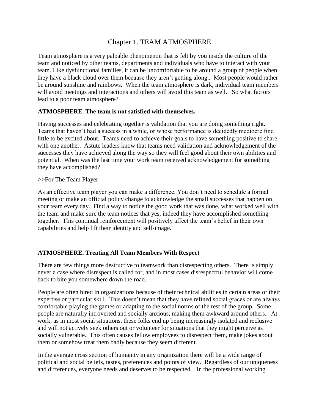## Chapter 1. TEAM ATMOSPHERE

<span id="page-6-0"></span>Team atmosphere is a very palpable phenomenon that is felt by you inside the culture of the team and noticed by other teams, departments and individuals who have to interact with your team. Like dysfunctional families, it can be uncomfortable to be around a group of people when they have a black cloud over them because they aren't getting along.. Most people would rather be around sunshine and rainbows. When the team atmosphere is dark, individual team members will avoid meetings and interactions and others will avoid this team as well. So what factors lead to a poor team atmosphere?

#### **ATMOSPHERE. The team is not satisfied with themselves.**

Having successes and celebrating together is validation that you are doing something right. Teams that haven't had a success in a while, or whose performance is decidedly mediocre find little to be excited about. Teams need to achieve their goals to have something positive to share with one another. Astute leaders know that teams need validation and acknowledgement of the successes they have achieved along the way so they will feel good about their own abilities and potential. When was the last time your work team received acknowledgement for something they have accomplished?

#### >>For The Team Player

As an effective team player you can make a difference. You don't need to schedule a formal meeting or make an official policy change to acknowledge the small successes that happen on your team every day. Find a way to notice the good work that was done, what worked well with the team and make sure the team notices that yes, indeed they have accomplished something together. This continual reinforcement will positively affect the team's belief in their own capabilities and help lift their identity and self-image.

## **ATMOSPHERE. Treating All Team Members With Respect**

There are few things more destructive to teamwork than disrespecting others. There is simply never a case where disrespect is called for, and in most cases disrespectful behavior will come back to bite you somewhere down the road.

People are often hired in organizations because of their technical abilities in certain areas or their expertise or particular skill. This doesn't mean that they have refined social graces or are always comfortable playing the games or adapting to the social norms of the rest of the group. Some people are naturally introverted and socially anxious, making them awkward around others. At work, as in most social situations, these folks end up being increasingly isolated and reclusive and will not actively seek others out or volunteer for situations that they might perceive as socially vulnerable. This often causes fellow employees to disrespect them, make jokes about them or somehow treat them badly because they seem different.

In the average cross section of humanity in any organization there will be a wide range of political and social beliefs, tastes, preferences and points of view. Regardless of our uniqueness and differences, everyone needs and deserves to be respected. In the professional working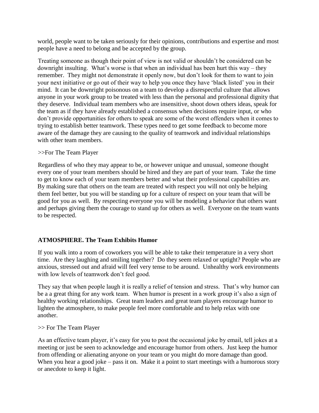world, people want to be taken seriously for their opinions, contributions and expertise and most people have a need to belong and be accepted by the group.

Treating someone as though their point of view is not valid or shouldn't be considered can be downright insulting. What's worse is that when an individual has been hurt this way – they remember. They might not demonstrate it openly now, but don't look for them to want to join your next initiative or go out of their way to help you once they have 'black listed' you in their mind. It can be downright poisonous on a team to develop a disrespectful culture that allows anyone in your work group to be treated with less than the personal and professional dignity that they deserve. Individual team members who are insensitive, shoot down others ideas, speak for the team as if they have already established a consensus when decisions require input, or who don't provide opportunities for others to speak are some of the worst offenders when it comes to trying to establish better teamwork. These types need to get some feedback to become more aware of the damage they are causing to the quality of teamwork and individual relationships with other team members.

#### >>For The Team Player

Regardless of who they may appear to be, or however unique and unusual, someone thought every one of your team members should be hired and they are part of your team. Take the time to get to know each of your team members better and what their professional capabilities are. By making sure that others on the team are treated with respect you will not only be helping them feel better, but you will be standing up for a culture of respect on your team that will be good for you as well. By respecting everyone you will be modeling a behavior that others want and perhaps giving them the courage to stand up for others as well. Everyone on the team wants to be respected.

## **ATMOSPHERE. The Team Exhibits Humor**

If you walk into a room of coworkers you will be able to take their temperature in a very short time. Are they laughing and smiling together? Do they seem relaxed or uptight? People who are anxious, stressed out and afraid will feel very tense to be around. Unhealthy work environments with low levels of teamwork don't feel good.

They say that when people laugh it is really a relief of tension and stress. That's why humor can be a a great thing for any work team. When humor is present in a work group it's also a sign of healthy working relationships. Great team leaders and great team players encourage humor to lighten the atmosphere, to make people feel more comfortable and to help relax with one another.

#### >> For The Team Player

As an effective team player, it's easy for you to post the occasional joke by email, tell jokes at a meeting or just be seen to acknowledge and encourage humor from others. Just keep the humor from offending or alienating anyone on your team or you might do more damage than good. When you hear a good joke – pass it on. Make it a point to start meetings with a humorous story or anecdote to keep it light.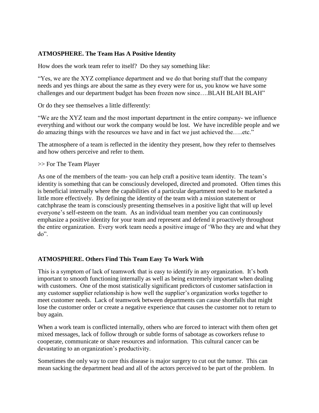#### **ATMOSPHERE. The Team Has A Positive Identity**

How does the work team refer to itself? Do they say something like:

"Yes, we are the XYZ compliance department and we do that boring stuff that the company needs and yes things are about the same as they every were for us, you know we have some challenges and our department budget has been frozen now since….BLAH BLAH BLAH"

Or do they see themselves a little differently:

"We are the XYZ team and the most important department in the entire company- we influence everything and without our work the company would be lost. We have incredible people and we do amazing things with the resources we have and in fact we just achieved the…..etc."

The atmosphere of a team is reflected in the identity they present, how they refer to themselves and how others perceive and refer to them.

#### >> For The Team Player

As one of the members of the team- you can help craft a positive team identity. The team's identity is something that can be consciously developed, directed and promoted. Often times this is beneficial internally where the capabilities of a particular department need to be marketed a little more effectively. By defining the identity of the team with a mission statement or catchphrase the team is consciously presenting themselves in a positive light that will up level everyone's self-esteem on the team. As an individual team member you can continuously emphasize a positive identity for your team and represent and defend it proactively throughout the entire organization. Every work team needs a positive image of 'Who they are and what they do".

#### **ATMOSPHERE. Others Find This Team Easy To Work With**

This is a symptom of lack of teamwork that is easy to identify in any organization. It's both important to smooth functioning internally as well as being extremely important when dealing with customers. One of the most statistically significant predictors of customer satisfaction in any customer supplier relationship is how well the supplier's organization works together to meet customer needs. Lack of teamwork between departments can cause shortfalls that might lose the customer order or create a negative experience that causes the customer not to return to buy again.

When a work team is conflicted internally, others who are forced to interact with them often get mixed messages, lack of follow through or subtle forms of sabotage as coworkers refuse to cooperate, communicate or share resources and information. This cultural cancer can be devastating to an organization's productivity.

Sometimes the only way to cure this disease is major surgery to cut out the tumor. This can mean sacking the department head and all of the actors perceived to be part of the problem. In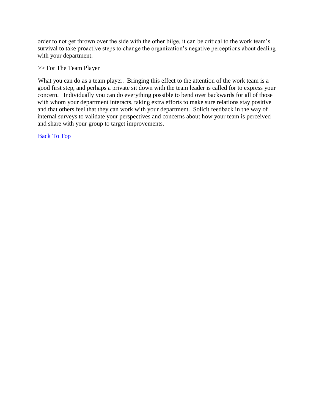order to not get thrown over the side with the other bilge, it can be critical to the work team's survival to take proactive steps to change the organization's negative perceptions about dealing with your department.

#### >> For The Team Player

What you can do as a team player. Bringing this effect to the attention of the work team is a good first step, and perhaps a private sit down with the team leader is called for to express your concern. Individually you can do everything possible to bend over backwards for all of those with whom your department interacts, taking extra efforts to make sure relations stay positive and that others feel that they can work with your department. Solicit feedback in the way of internal surveys to validate your perspectives and concerns about how your team is perceived and share with your group to target improvements.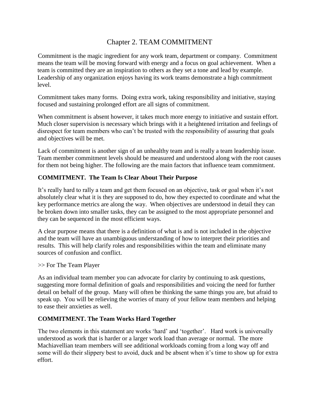## Chapter 2. TEAM COMMITMENT

<span id="page-10-0"></span>Commitment is the magic ingredient for any work team, department or company. Commitment means the team will be moving forward with energy and a focus on goal achievement. When a team is committed they are an inspiration to others as they set a tone and lead by example. Leadership of any organization enjoys having its work teams demonstrate a high commitment level.

Commitment takes many forms. Doing extra work, taking responsibility and initiative, staying focused and sustaining prolonged effort are all signs of commitment.

When commitment is absent however, it takes much more energy to initiative and sustain effort. Much closer supervision is necessary which brings with it a heightened irritation and feelings of disrespect for team members who can't be trusted with the responsibility of assuring that goals and objectives will be met.

Lack of commitment is another sign of an unhealthy team and is really a team leadership issue. Team member commitment levels should be measured and understood along with the root causes for them not being higher. The following are the main factors that influence team commitment.

## **COMMITMENT. The Team Is Clear About Their Purpose**

It's really hard to rally a team and get them focused on an objective, task or goal when it's not absolutely clear what it is they are supposed to do, how they expected to coordinate and what the key performance metrics are along the way. When objectives are understood in detail they can be broken down into smaller tasks, they can be assigned to the most appropriate personnel and they can be sequenced in the most efficient ways.

A clear purpose means that there is a definition of what is and is not included in the objective and the team will have an unambiguous understanding of how to interpret their priorities and results. This will help clarify roles and responsibilities within the team and eliminate many sources of confusion and conflict.

>> For The Team Player

As an individual team member you can advocate for clarity by continuing to ask questions, suggesting more formal definition of goals and responsibilities and voicing the need for further detail on behalf of the group. Many will often be thinking the same things you are, but afraid to speak up. You will be relieving the worries of many of your fellow team members and helping to ease their anxieties as well.

## **COMMITMENT. The Team Works Hard Together**

The two elements in this statement are works 'hard' and 'together'. Hard work is universally understood as work that is harder or a larger work load than average or normal. The more Machiavellian team members will see additional workloads coming from a long way off and some will do their slippery best to avoid, duck and be absent when it's time to show up for extra effort.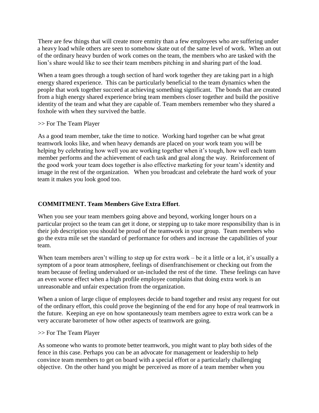There are few things that will create more enmity than a few employees who are suffering under a heavy load while others are seen to somehow skate out of the same level of work. When an out of the ordinary heavy burden of work comes on the team, the members who are tasked with the lion's share would like to see their team members pitching in and sharing part of the load.

When a team goes through a tough section of hard work together they are taking part in a high energy shared experience. This can be particularly beneficial to the team dynamics when the people that work together succeed at achieving something significant. The bonds that are created from a high energy shared experience bring team members closer together and build the positive identity of the team and what they are capable of. Team members remember who they shared a foxhole with when they survived the battle.

#### >> For The Team Player

As a good team member, take the time to notice. Working hard together can be what great teamwork looks like, and when heavy demands are placed on your work team you will be helping by celebrating how well you are working together when it's tough, how well each team member performs and the achievement of each task and goal along the way. Reinforcement of the good work your team does together is also effective marketing for your team's identity and image in the rest of the organization. When you broadcast and celebrate the hard work of your team it makes you look good too.

## **COMMITMENT. Team Members Give Extra Effort**.

When you see your team members going above and beyond, working longer hours on a particular project so the team can get it done, or stepping up to take more responsibility than is in their job description you should be proud of the teamwork in your group. Team members who go the extra mile set the standard of performance for others and increase the capabilities of your team.

When team members aren't willing to step up for extra work – be it a little or a lot, it's usually a symptom of a poor team atmosphere, feelings of disenfranchisement or checking out from the team because of feeling undervalued or un-included the rest of the time. These feelings can have an even worse effect when a high profile employee complains that doing extra work is an unreasonable and unfair expectation from the organization.

When a union of large clique of employees decide to band together and resist any request for out of the ordinary effort, this could prove the beginning of the end for any hope of real teamwork in the future. Keeping an eye on how spontaneously team members agree to extra work can be a very accurate barometer of how other aspects of teamwork are going.

#### >> For The Team Player

As someone who wants to promote better teamwork, you might want to play both sides of the fence in this case. Perhaps you can be an advocate for management or leadership to help convince team members to get on board with a special effort or a particularly challenging objective. On the other hand you might be perceived as more of a team member when you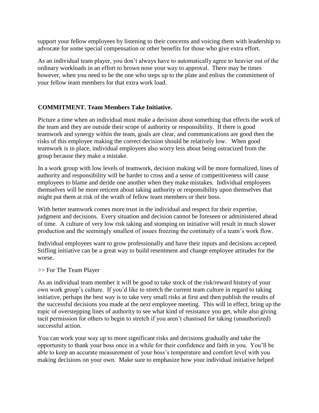support your fellow employees by listening to their concerns and voicing them with leadership to advocate for some special compensation or other benefits for those who give extra effort.

As an individual team player, you don't always have to automatically agree to heavier out of the ordinary workloads in an effort to brown nose your way to approval. There may be times however, when you need to be the one who steps up to the plate and enlists the commitment of your fellow team members for that extra work load.

## **COMMITMENT. Team Members Take Initiative.**

Picture a time when an individual must make a decision about something that effects the work of the team and they are outside their scope of authority or responsibility. If there is good teamwork and synergy within the team, goals are clear, and communications are good then the risks of this employee making the correct decision should be relatively low. When good teamwork is in place, individual employees also worry less about being ostracized from the group because they make a mistake.

In a work group with low levels of teamwork, decision making will be more formalized, lines of authority and responsibility will be harder to cross and a sense of competitiveness will cause employees to blame and deride one another when they make mistakes. Individual employees themselves will be more reticent about taking authority or responsibility upon themselves that might put them at risk of the wrath of fellow team members or their boss.

With better teamwork comes more trust in the individual and respect for their expertise, judgment and decisions. Every situation and decision cannot be foreseen or administered ahead of time. A culture of very low risk taking and stomping on initiative will result in much slower production and the seemingly smallest of issues freezing the continuity of a team's work flow.

Individual employees want to grow professionally and have their inputs and decisions accepted. Stifling initiative can be a great way to build resentment and change employee attitudes for the worse.

#### >> For The Team Player

As an individual team member it will be good to take stock of the risk/reward history of your own work group's culture. If you'd like to stretch the current team culture in regard to taking initiative, perhaps the best way is to take very small risks at first and then publish the results of the successful decisions you made at the next employee meeting. This will in effect, bring up the topic of overstepping lines of authority to see what kind of resistance you get, while also giving tacit permission for others to begin to stretch if you aren't chastised for taking (unauthorized) successful action.

You can work your way up to more significant risks and decisions gradually and take the opportunity to thank your boss once in a while for their confidence and faith in you. You'll be able to keep an accurate measurement of your boss's temperature and comfort level with you making decisions on your own. Make sure to emphasize how your individual initiative helped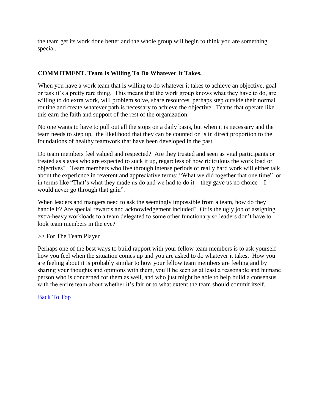the team get its work done better and the whole group will begin to think you are something special.

## **COMMITMENT. Team Is Willing To Do Whatever It Takes.**

When you have a work team that is willing to do whatever it takes to achieve an objective, goal or task it's a pretty rare thing. This means that the work group knows what they have to do, are willing to do extra work, will problem solve, share resources, perhaps step outside their normal routine and create whatever path is necessary to achieve the objective. Teams that operate like this earn the faith and support of the rest of the organization.

No one wants to have to pull out all the stops on a daily basis, but when it is necessary and the team needs to step up, the likelihood that they can be counted on is in direct proportion to the foundations of healthy teamwork that have been developed in the past.

Do team members feel valued and respected? Are they trusted and seen as vital participants or treated as slaves who are expected to suck it up, regardless of how ridiculous the work load or objectives? Team members who live through intense periods of really hard work will either talk about the experience in reverent and appreciative terms: "What we did together that one time" or in terms like "That's what they made us do and we had to do it – they gave us no choice  $-I$ would never go through that gain".

When leaders and mangers need to ask the seemingly impossible from a team, how do they handle it? Are special rewards and acknowledgement included? Or is the ugly job of assigning extra-heavy workloads to a team delegated to some other functionary so leaders don't have to look team members in the eye?

#### >> For The Team Player

Perhaps one of the best ways to build rapport with your fellow team members is to ask yourself how you feel when the situation comes up and you are asked to do whatever it takes. How you are feeling about it is probably similar to how your fellow team members are feeling and by sharing your thoughts and opinions with them, you'll be seen as at least a reasonable and humane person who is concerned for them as well, and who just might be able to help build a consensus with the entire team about whether it's fair or to what extent the team should commit itself.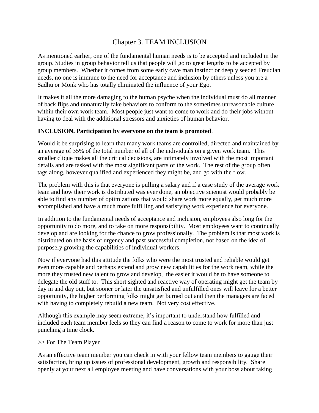## Chapter 3. TEAM INCLUSION

<span id="page-14-0"></span>As mentioned earlier, one of the fundamental human needs is to be accepted and included in the group. Studies in group behavior tell us that people will go to great lengths to be accepted by group members. Whether it comes from some early cave man instinct or deeply seeded Freudian needs, no one is immune to the need for acceptance and inclusion by others unless you are a Sadhu or Monk who has totally eliminated the influence of your Ego.

It makes it all the more damaging to the human psyche when the individual must do all manner of back flips and unnaturally fake behaviors to conform to the sometimes unreasonable culture within their own work team. Most people just want to come to work and do their jobs without having to deal with the additional stressors and anxieties of human behavior.

#### **INCLUSION. Participation by everyone on the team is promoted**.

Would it be surprising to learn that many work teams are controlled, directed and maintained by an average of 35% of the total number of all of the individuals on a given work team. This smaller clique makes all the critical decisions, are intimately involved with the most important details and are tasked with the most significant parts of the work. The rest of the group often tags along, however qualified and experienced they might be, and go with the flow.

The problem with this is that everyone is pulling a salary and if a case study of the average work team and how their work is distributed was ever done, an objective scientist would probably be able to find any number of optimizations that would share work more equally, get much more accomplished and have a much more fulfilling and satisfying work experience for everyone.

In addition to the fundamental needs of acceptance and inclusion, employees also long for the opportunity to do more, and to take on more responsibility. Most employees want to continually develop and are looking for the chance to grow professionally. The problem is that most work is distributed on the basis of urgency and past successful completion, not based on the idea of purposely growing the capabilities of individual workers.

Now if everyone had this attitude the folks who were the most trusted and reliable would get even more capable and perhaps extend and grow new capabilities for the work team, while the more they trusted new talent to grow and develop, the easier it would be to have someone to delegate the old stuff to. This short sighted and reactive way of operating might get the team by day in and day out, but sooner or later the unsatisfied and unfulfilled ones will leave for a better opportunity, the higher performing folks might get burned out and then the managers are faced with having to completely rebuild a new team. Not very cost effective.

Although this example may seem extreme, it's important to understand how fulfilled and included each team member feels so they can find a reason to come to work for more than just punching a time clock.

#### >> For The Team Player

As an effective team member you can check in with your fellow team members to gauge their satisfaction, bring up issues of professional development, growth and responsibility. Share openly at your next all employee meeting and have conversations with your boss about taking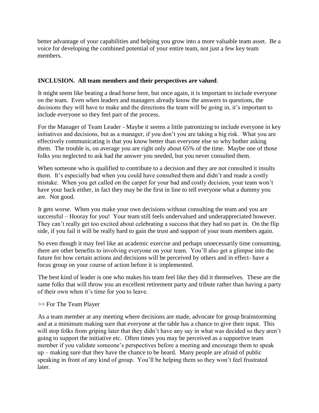better advantage of your capabilities and helping you grow into a more valuable team asset. Be a voice for developing the combined potential of your entire team, not just a few key team members.

## **INCLUSION. All team members and their perspectives are valued**.

It might seem like beating a dead horse here, but once again, it is important to include everyone on the team. Even when leaders and managers already know the answers to questions, the decisions they will have to make and the directions the team will be going in, it's important to include everyone so they feel part of the process.

For the Manager of Team Leader - Maybe it seems a little patronizing to include everyone in key initiatives and decisions, but as a manager, if you don't you are taking a big risk. What you are effectively communicating is that you know better than everyone else so why bother asking them. The trouble is, on average you are right only about 65% of the time. Maybe one of those folks you neglected to ask had the answer you needed, but you never consulted them.

When someone who is qualified to contribute to a decision and they are not consulted it insults them. It's especially bad when you could have consulted them and didn't and made a costly mistake. When you get called on the carpet for your bad and costly decision, your team won't have your back either, in fact they may be the first in line to tell everyone what a dummy you are. Not good.

It gets worse. When you make your own decisions without consulting the team and you are successful – Hooray for you! Your team still feels undervalued and underappreciated however. They can't really get too excited about celebrating a success that they had no part in. On the flip side, if you fail it will be really hard to gain the trust and support of your team members again.

So even though it may feel like an academic exercise and perhaps unnecessarily time consuming, there are other benefits to involving everyone on your team. You'll also get a glimpse into the future for how certain actions and decisions will be perceived by others and in effect- have a focus group on your course of action before it is implemented.

The best kind of leader is one who makes his team feel like they did it themselves. These are the same folks that will throw you an excellent retirement party and tribute rather than having a party of their own when it's time for you to leave.

## >> For The Team Player

As a team member at any meeting where decisions are made, advocate for group brainstorming and at a minimum making sure that everyone at the table has a chance to give their input. This will stop folks from griping later that they didn't have any say in what was decided so they aren't going to support the initiative etc. Often times you may be perceived as a supportive team member if you validate someone's perspectives before a meeting and encourage them to speak up – making sure that they have the chance to be heard. Many people are afraid of public speaking in front of any kind of group. You'll be helping them so they won't feel frustrated later.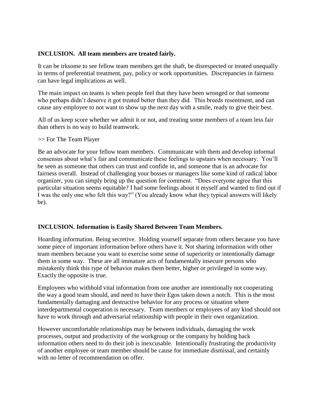#### **INCLUSION. All team members are treated fairly.**

It can be irksome to see fellow team members get the shaft, be disrespected or treated unequally in terms of preferential treatment, pay, policy or work opportunities. Discrepancies in fairness can have legal implications as well.

The main impact on teams is when people feel that they have been wronged or that someone who perhaps didn't deserve it got treated better than they did. This breeds resentment, and can cause any employee to not want to show up the next day with a smile, ready to give their best.

All of us keep score whether we admit it or not, and treating some members of a team less fair than others is no way to build teamwork.

#### >> For The Team Player

Be an advocate for your fellow team members. Communicate with them and develop informal consensus about what's fair and communicate these feelings to upstairs when necessary. You'll be seen as someone that others can trust and confide in, and someone that is an advocate for fairness overall. Instead of challenging your bosses or managers like some kind of radical labor organizer, you can simply bring up the question for comment. "Does everyone agree that this particular situation seems equitable? I had some feelings about it myself and wanted to find out if I was the only one who felt this way?" (You already know what they typical answers will likely be).

## **INCLUSION. Information is Easily Shared Between Team Members.**

Hoarding information. Being secretive. Holding yourself separate from others because you have some piece of important information before others have it. Not sharing information with other team members because you want to exercise some sense of superiority or intentionally damage them in some way. These are all immature acts of fundamentally insecure persons who mistakenly think this type of behavior makes them better, higher or privileged in some way. Exactly the opposite is true.

Employees who withhold vital information from one another are intentionally not cooperating the way a good team should, and need to have their Egos taken down a notch. This is the most fundamentally damaging and destructive behavior for any process or situation where interdepartmental cooperation is necessary. Team members or employees of any kind should not have to work through and adversarial relationship with people in their own organization.

However uncomfortable relationships may be between individuals, damaging the work processes, output and productivity of the workgroup or the company by holding back information others need to do their job is inexcusable. Intentionally frustrating the productivity of another employee or team member should be cause for immediate dismissal, and certainly with no letter of recommendation on offer.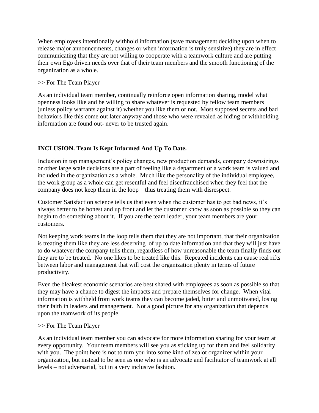When employees intentionally withhold information (save management deciding upon when to release major announcements, changes or when information is truly sensitive) they are in effect communicating that they are not willing to cooperate with a teamwork culture and are putting their own Ego driven needs over that of their team members and the smooth functioning of the organization as a whole.

#### >> For The Team Player

As an individual team member, continually reinforce open information sharing, model what openness looks like and be willing to share whatever is requested by fellow team members (unless policy warrants against it) whether you like them or not. Most supposed secrets and bad behaviors like this come out later anyway and those who were revealed as hiding or withholding information are found out- never to be trusted again.

## **INCLUSION. Team Is Kept Informed And Up To Date.**

Inclusion in top management's policy changes, new production demands, company downsizings or other large scale decisions are a part of feeling like a department or a work team is valued and included in the organization as a whole. Much like the personality of the individual employee, the work group as a whole can get resentful and feel disenfranchised when they feel that the company does not keep them in the loop – thus treating them with disrespect.

Customer Satisfaction science tells us that even when the customer has to get bad news, it's always better to be honest and up front and let the customer know as soon as possible so they can begin to do something about it. If you are the team leader, your team members are your customers.

Not keeping work teams in the loop tells them that they are not important, that their organization is treating them like they are less deserving of up to date information and that they will just have to do whatever the company tells them, regardless of how unreasonable the team finally finds out they are to be treated. No one likes to be treated like this. Repeated incidents can cause real rifts between labor and management that will cost the organization plenty in terms of future productivity.

Even the bleakest economic scenarios are best shared with employees as soon as possible so that they may have a chance to digest the impacts and prepare themselves for change. When vital information is withheld from work teams they can become jaded, bitter and unmotivated, losing their faith in leaders and management. Not a good picture for any organization that depends upon the teamwork of its people.

#### >> For The Team Player

As an individual team member you can advocate for more information sharing for your team at every opportunity. Your team members will see you as sticking up for them and feel solidarity with you. The point here is not to turn you into some kind of zealot organizer within your organization, but instead to be seen as one who is an advocate and facilitator of teamwork at all levels – not adversarial, but in a very inclusive fashion.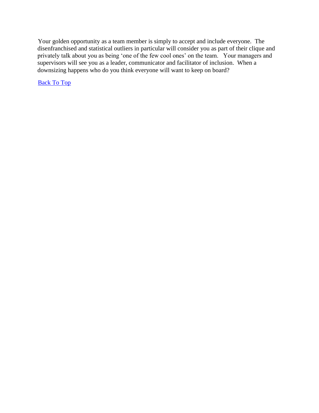Your golden opportunity as a team member is simply to accept and include everyone. The disenfranchised and statistical outliers in particular will consider you as part of their clique and privately talk about you as being 'one of the few cool ones' on the team. Your managers and supervisors will see you as a leader, communicator and facilitator of inclusion. When a downsizing happens who do you think everyone will want to keep on board?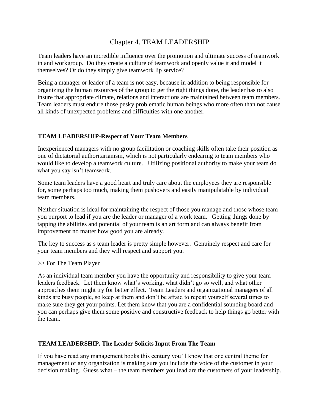## Chapter 4. TEAM LEADERSHIP

<span id="page-19-0"></span>Team leaders have an incredible influence over the promotion and ultimate success of teamwork in and workgroup. Do they create a culture of teamwork and openly value it and model it themselves? Or do they simply give teamwork lip service?

Being a manager or leader of a team is not easy, because in addition to being responsible for organizing the human resources of the group to get the right things done, the leader has to also insure that appropriate climate, relations and interactions are maintained between team members. Team leaders must endure those pesky problematic human beings who more often than not cause all kinds of unexpected problems and difficulties with one another.

## **TEAM LEADERSHIP-Respect of Your Team Members**

Inexperienced managers with no group facilitation or coaching skills often take their position as one of dictatorial authoritarianism, which is not particularly endearing to team members who would like to develop a teamwork culture. Utilizing positional authority to make your team do what you say isn't teamwork.

Some team leaders have a good heart and truly care about the employees they are responsible for, some perhaps too much, making them pushovers and easily manipulatable by individual team members.

Neither situation is ideal for maintaining the respect of those you manage and those whose team you purport to lead if you are the leader or manager of a work team. Getting things done by tapping the abilities and potential of your team is an art form and can always benefit from improvement no matter how good you are already.

The key to success as s team leader is pretty simple however. Genuinely respect and care for your team members and they will respect and support you.

>> For The Team Player

As an individual team member you have the opportunity and responsibility to give your team leaders feedback. Let them know what's working, what didn't go so well, and what other approaches them might try for better effect. Team Leaders and organizational managers of all kinds are busy people, so keep at them and don't be afraid to repeat yourself several times to make sure they get your points. Let them know that you are a confidential sounding board and you can perhaps give them some positive and constructive feedback to help things go better with the team.

#### **TEAM LEADERSHIP. The Leader Solicits Input From The Team**

If you have read any management books this century you'll know that one central theme for management of any organization is making sure you include the voice of the customer in your decision making. Guess what – the team members you lead are the customers of your leadership.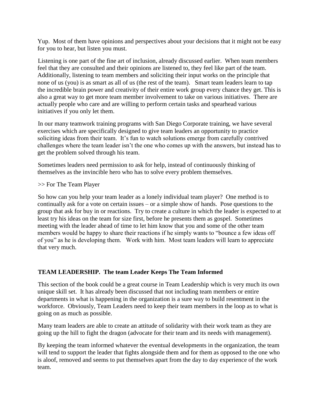Yup. Most of them have opinions and perspectives about your decisions that it might not be easy for you to hear, but listen you must.

Listening is one part of the fine art of inclusion, already discussed earlier. When team members feel that they are consulted and their opinions are listened to, they feel like part of the team. Additionally, listening to team members and soliciting their input works on the principle that none of us (you) is as smart as all of us (the rest of the team). Smart team leaders learn to tap the incredible brain power and creativity of their entire work group every chance they get. This is also a great way to get more team member involvement to take on various initiatives. There are actually people who care and are willing to perform certain tasks and spearhead various initiatives if you only let them.

In our many teamwork training programs with San Diego Corporate training, we have several exercises which are specifically designed to give team leaders an opportunity to practice soliciting ideas from their team. It's fun to watch solutions emerge from carefully contrived challenges where the team leader isn't the one who comes up with the answers, but instead has to get the problem solved through his team.

Sometimes leaders need permission to ask for help, instead of continuously thinking of themselves as the invincible hero who has to solve every problem themselves.

>> For The Team Player

So how can you help your team leader as a lonely individual team player? One method is to continually ask for a vote on certain issues – or a simple show of hands. Pose questions to the group that ask for buy in or reactions. Try to create a culture in which the leader is expected to at least try his ideas on the team for size first, before he presents them as gospel. Sometimes meeting with the leader ahead of time to let him know that you and some of the other team members would be happy to share their reactions if he simply wants to "bounce a few ideas off of you" as he is developing them. Work with him. Most team leaders will learn to appreciate that very much.

## **TEAM LEADERSHIP. The team Leader Keeps The Team Informed**

This section of the book could be a great course in Team Leadership which is very much its own unique skill set. It has already been discussed that not including team members or entire departments in what is happening in the organization is a sure way to build resentment in the workforce. Obviously, Team Leaders need to keep their team members in the loop as to what is going on as much as possible.

Many team leaders are able to create an attitude of solidarity with their work team as they are going up the hill to fight the dragon (advocate for their team and its needs with management).

By keeping the team informed whatever the eventual developments in the organization, the team will tend to support the leader that fights alongside them and for them as opposed to the one who is aloof, removed and seems to put themselves apart from the day to day experience of the work team.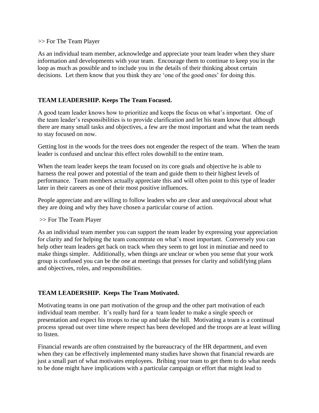#### >> For The Team Player

As an individual team member, acknowledge and appreciate your team leader when they share information and developments with your team. Encourage them to continue to keep you in the loop as much as possible and to include you in the details of their thinking about certain decisions. Let them know that you think they are 'one of the good ones' for doing this.

## **TEAM LEADERSHIP. Keeps The Team Focused.**

A good team leader knows how to prioritize and keeps the focus on what's important. One of the team leader's responsibilities is to provide clarification and let his team know that although there are many small tasks and objectives, a few are the most important and what the team needs to stay focused on now.

Getting lost in the woods for the trees does not engender the respect of the team. When the team leader is confused and unclear this effect roles downhill to the entire team.

When the team leader keeps the team focused on its core goals and objective he is able to harness the real power and potential of the team and guide them to their highest levels of performance. Team members actually appreciate this and will often point to this type of leader later in their careers as one of their most positive influences.

People appreciate and are willing to follow leaders who are clear and unequivocal about what they are doing and why they have chosen a particular course of action.

#### >> For The Team Player

As an individual team member you can support the team leader by expressing your appreciation for clarity and for helping the team concentrate on what's most important. Conversely you can help other team leaders get back on track when they seem to get lost in minutiae and need to make things simpler. Additionally, when things are unclear or when you sense that your work group is confused you can be the one at meetings that presses for clarity and solidifying plans and objectives, roles, and responsibilities.

## **TEAM LEADERSHIP. Keeps The Team Motivated.**

Motivating teams in one part motivation of the group and the other part motivation of each individual team member. It's really hard for a team leader to make a single speech or presentation and expect his troops to rise up and take the hill. Motivating a team is a continual process spread out over time where respect has been developed and the troops are at least willing to listen.

Financial rewards are often constrained by the bureaucracy of the HR department, and even when they can be effectively implemented many studies have shown that financial rewards are just a small part of what motivates employees. Bribing your team to get them to do what needs to be done might have implications with a particular campaign or effort that might lead to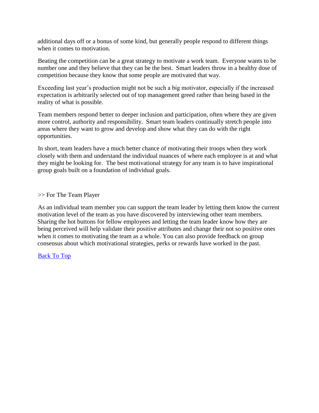additional days off or a bonus of some kind, but generally people respond to different things when it comes to motivation.

Beating the competition can be a great strategy to motivate a work team. Everyone wants to be number one and they believe that they can be the best. Smart leaders throw in a healthy dose of competition because they know that some people are motivated that way.

Exceeding last year's production might not be such a big motivator, especially if the increased expectation is arbitrarily selected out of top management greed rather than being based in the reality of what is possible.

Team members respond better to deeper inclusion and participation, often where they are given more control, authority and responsibility. Smart team leaders continually stretch people into areas where they want to grow and develop and show what they can do with the right opportunities.

In short, team leaders have a much better chance of motivating their troops when they work closely with them and understand the individual nuances of where each employee is at and what they might be looking for. The best motivational strategy for any team is to have inspirational group goals built on a foundation of individual goals.

#### >> For The Team Player

As an individual team member you can support the team leader by letting them know the current motivation level of the team as you have discovered by interviewing other team members. Sharing the hot buttons for fellow employees and letting the team leader know how they are being perceived will help validate their positive attributes and change their not so positive ones when it comes to motivating the team as a whole. You can also provide feedback on group consensus about which motivational strategies, perks or rewards have worked in the past.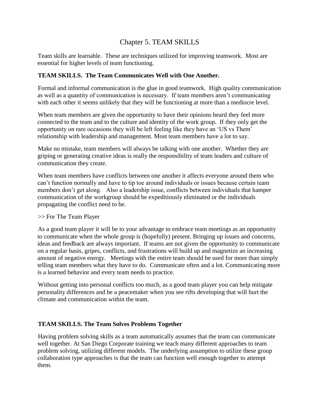## Chapter 5. TEAM SKILLS

<span id="page-23-0"></span>Team skills are learnable. These are techniques utilized for improving teamwork. Most are essential for higher levels of team functioning.

#### **TEAM SKILLS. The Team Communicates Well with One Another.**

Formal and informal communication is the glue in good teamwork. High quality communication as well as a quantity of communication is necessary. If team members aren't communicating with each other it seems unlikely that they will be functioning at more than a mediocre level.

When team members are given the opportunity to have their opinions heard they feel more connected to the team and to the culture and identity of the work group. If they only get the opportunity on rare occasions they will be left feeling like they have an 'US vs Them' relationship with leadership and management. Most team members have a lot to say.

Make no mistake, team members will always be talking with one another. Whether they are griping or generating creative ideas is really the responsibility of team leaders and culture of communication they create.

When team members have conflicts between one another it affects everyone around them who can't function normally and have to tip toe around individuals or issues because certain team members don't get along. Also a leadership issue, conflicts between individuals that hamper communication of the workgroup should be expeditiously eliminated or the individuals propagating the conflict need to be.

#### >> For The Team Player

As a good team player it will be to your advantage to embrace team meetings as an opportunity to communicate when the whole group is (hopefully) present. Bringing up issues and concerns, ideas and feedback are always important. If teams are not given the opportunity to communicate on a regular basis, gripes, conflicts, and frustrations will build up and magnetize an increasing amount of negative energy. Meetings with the entire team should be used for more than simply telling team members what they have to do. Communicate often and a lot. Communicating more is a learned behavior and every team needs to practice.

Without getting into personal conflicts too much, as a good team player you can help mitigate personality differences and be a peacemaker when you see rifts developing that will hurt the climate and communication within the team.

## **TEAM SKILLS. The Team Solves Problems Together**

Having problem solving skills as a team automatically assumes that the team can communicate well together. At San Diego Corporate training we teach many different approaches to team problem solving, utilizing different models. The underlying assumption to utilize these group collaboration type approaches is that the team can function well enough together to attempt them.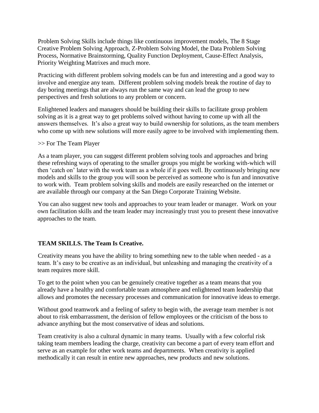Problem Solving Skills include things like continuous improvement models, The 8 Stage Creative Problem Solving Approach, Z-Problem Solving Model, the Data Problem Solving Process, Normative Brainstorming, Quality Function Deployment, Cause-Effect Analysis, Priority Weighting Matrixes and much more.

Practicing with different problem solving models can be fun and interesting and a good way to involve and energize any team. Different problem solving models break the routine of day to day boring meetings that are always run the same way and can lead the group to new perspectives and fresh solutions to any problem or concern.

Enlightened leaders and managers should be building their skills to facilitate group problem solving as it is a great way to get problems solved without having to come up with all the answers themselves. It's also a great way to build ownership for solutions, as the team members who come up with new solutions will more easily agree to be involved with implementing them.

#### >> For The Team Player

As a team player, you can suggest different problem solving tools and approaches and bring these refreshing ways of operating to the smaller groups you might be working with-which will then 'catch on' later with the work team as a whole if it goes well. By continuously bringing new models and skills to the group you will soon be perceived as someone who is fun and innovative to work with. Team problem solving skills and models are easily researched on the internet or are available through our company at the San Diego Corporate Training Website.

You can also suggest new tools and approaches to your team leader or manager. Work on your own facilitation skills and the team leader may increasingly trust you to present these innovative approaches to the team.

## **TEAM SKILLS. The Team Is Creative.**

Creativity means you have the ability to bring something new to the table when needed - as a team. It's easy to be creative as an individual, but unleashing and managing the creativity of a team requires more skill.

To get to the point when you can be genuinely creative together as a team means that you already have a healthy and comfortable team atmosphere and enlightened team leadership that allows and promotes the necessary processes and communication for innovative ideas to emerge.

Without good teamwork and a feeling of safety to begin with, the average team member is not about to risk embarrassment, the derision of fellow employees or the criticism of the boss to advance anything but the most conservative of ideas and solutions.

Team creativity is also a cultural dynamic in many teams. Usually with a few colorful risk taking team members leading the charge, creativity can become a part of every team effort and serve as an example for other work teams and departments. When creativity is applied methodically it can result in entire new approaches, new products and new solutions.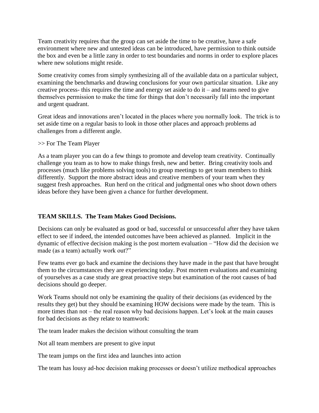Team creativity requires that the group can set aside the time to be creative, have a safe environment where new and untested ideas can be introduced, have permission to think outside the box and even be a little zany in order to test boundaries and norms in order to explore places where new solutions might reside.

Some creativity comes from simply synthesizing all of the available data on a particular subject, examining the benchmarks and drawing conclusions for your own particular situation. Like any creative process- this requires the time and energy set aside to do it – and teams need to give themselves permission to make the time for things that don't necessarily fall into the important and urgent quadrant.

Great ideas and innovations aren't located in the places where you normally look. The trick is to set aside time on a regular basis to look in those other places and approach problems ad challenges from a different angle.

#### >> For The Team Player

As a team player you can do a few things to promote and develop team creativity. Continually challenge you team as to how to make things fresh, new and better. Bring creativity tools and processes (much like problems solving tools) to group meetings to get team members to think differently. Support the more abstract ideas and creative members of your team when they suggest fresh approaches. Run herd on the critical and judgmental ones who shoot down others ideas before they have been given a chance for further development.

## **TEAM SKILLS. The Team Makes Good Decisions.**

Decisions can only be evaluated as good or bad, successful or unsuccessful after they have taken effect to see if indeed, the intended outcomes have been achieved as planned. Implicit in the dynamic of effective decision making is the post mortem evaluation – "How did the decision we made (as a team) actually work out?"

Few teams ever go back and examine the decisions they have made in the past that have brought them to the circumstances they are experiencing today. Post mortem evaluations and examining of yourselves as a case study are great proactive steps but examination of the root causes of bad decisions should go deeper.

Work Teams should not only be examining the quality of their decisions (as evidenced by the results they get) but they should be examining HOW decisions were made by the team. This is more times than not – the real reason why bad decisions happen. Let's look at the main causes for bad decisions as they relate to teamwork:

The team leader makes the decision without consulting the team

Not all team members are present to give input

The team jumps on the first idea and launches into action

The team has lousy ad-hoc decision making processes or doesn't utilize methodical approaches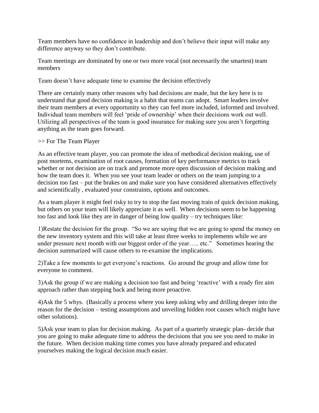Team members have no confidence in leadership and don't believe their input will make any difference anyway so they don't contribute.

Team meetings are dominated by one or two more vocal (not necessarily the smartest) team members

Team doesn't have adequate time to examine the decision effectively

There are certainly many other reasons why bad decisions are made, but the key here is to understand that good decision making is a habit that teams can adopt. Smart leaders involve their team members at every opportunity so they can feel more included, informed and involved. Individual team members will feel 'pride of ownership' when their decisions work out well. Utilizing all perspectives of the team is good insurance for making sure you aren't forgetting anything as the team goes forward.

#### >> For The Team Player

As an effective team player, you can promote the idea of methodical decision making, use of post mortems, examination of root causes, formation of key performance metrics to track whether or not decision are on track and promote more open discussion of decision making and how the team does it. When you see your team leader or others on the team jumping to a decision too fast – put the brakes on and make sure you have considered alternatives effectively and scientifically , evaluated your constraints, options and outcomes.

As a team player it might feel risky to try to stop the fast moving train of quick decision making, but others on your team will likely appreciate it as well. When decisions seem to be happening too fast and look like they are in danger of being low quality – try techniques like:

1)Restate the decision for the group. "So we are saying that we are going to spend the money on the new inventory system and this will take at least three weeks to implements while we are under pressure next month with our biggest order of the year..... etc." Sometimes hearing the decision summarized will cause others to re-examine the implications.

2)Take a few moments to get everyone's reactions. Go around the group and allow time for everyone to comment.

3)Ask the group if we are making a decision too fast and being 'reactive' with a ready fire aim approach rather than stepping back and being more proactive.

4)Ask the 5 whys. (Basically a process where you keep asking why and drilling deeper into the reason for the decision – testing assumptions and unveiling hidden root causes which might have other solutions).

5)Ask your team to plan for decision making. As part of a quarterly strategic plan- decide that you are going to make adequate time to address the decisions that you see you need to make in the future. When decision making time comes you have already prepared and educated yourselves making the logical decision much easier.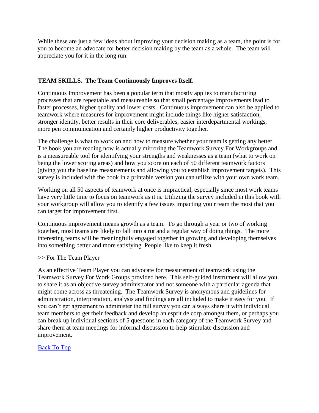While these are just a few ideas about improving your decision making as a team, the point is for you to become an advocate for better decision making by the team as a whole. The team will appreciate you for it in the long run.

## **TEAM SKILLS. The Team Continuously Improves Itself.**

Continuous Improvement has been a popular term that mostly applies to manufacturing processes that are repeatable and measureable so that small percentage improvements lead to faster processes, higher quality and lower costs. Continuous improvement can also be applied to teamwork where measures for improvement might include things like higher satisfaction, stronger identity, better results in their core deliverables, easier interdepartmental workings, more pen communication and certainly higher productivity together.

The challenge is what to work on and how to measure whether your team is getting any better. The book you are reading now is actually mirroring the Teamwork Survey For Workgroups and is a measureable tool for identifying your strengths and weaknesses as a team (what to work on being the lower scoring areas) and how you score on each of 50 different teamwork factors (giving you the baseline measurements and allowing you to establish improvement targets). This survey is included with the book in a printable version you can utilize with your own work team.

Working on all 50 aspects of teamwork at once is impractical, especially since most work teams have very little time to focus on teamwork as it is. Utilizing the survey included in this book with your workgroup will allow you to identify a few issues impacting you r team the most that you can target for improvement first.

Continuous improvement means growth as a team. To go through a year or two of working together, most teams are likely to fall into a rut and a regular way of doing things. The more interesting teams will be meaningfully engaged together in growing and developing themselves into something better and more satisfying. People like to keep it fresh.

#### >> For The Team Player

As an effective Team Player you can advocate for measurement of teamwork using the Teamwork Survey For Work Groups provided here. This self-guided instrument will allow you to share it as an objective survey administrator and not someone with a particular agenda that might come across as threatening. The Teamwork Survey is anonymous and guidelines for administration, interpretation, analysis and findings are all included to make it easy for you. If you can't get agreement to administer the full survey you can always share it with individual team members to get their feedback and develop an esprit de corp amongst them, or perhaps you can break up individual sections of 5 questions in each category of the Teamwork Survey and share them at team meetings for informal discussion to help stimulate discussion and improvement.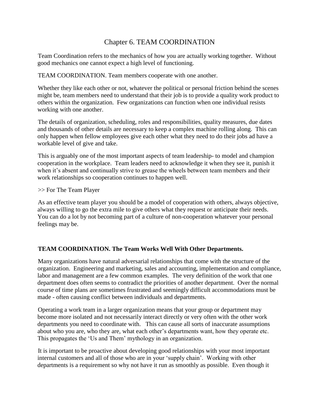## Chapter 6. TEAM COORDINATION

<span id="page-28-0"></span>Team Coordination refers to the mechanics of how you are actually working together. Without good mechanics one cannot expect a high level of functioning.

TEAM COORDINATION. Team members cooperate with one another.

Whether they like each other or not, whatever the political or personal friction behind the scenes might be, team members need to understand that their job is to provide a quality work product to others within the organization. Few organizations can function when one individual resists working with one another.

The details of organization, scheduling, roles and responsibilities, quality measures, due dates and thousands of other details are necessary to keep a complex machine rolling along. This can only happen when fellow employees give each other what they need to do their jobs ad have a workable level of give and take.

This is arguably one of the most important aspects of team leadership- to model and champion cooperation in the workplace. Team leaders need to acknowledge it when they see it, punish it when it's absent and continually strive to grease the wheels between team members and their work relationships so cooperation continues to happen well.

#### >> For The Team Player

As an effective team player you should be a model of cooperation with others, always objective, always willing to go the extra mile to give others what they request or anticipate their needs. You can do a lot by not becoming part of a culture of non-cooperation whatever your personal feelings may be.

## **TEAM COORDINATION. The Team Works Well With Other Departments.**

Many organizations have natural adversarial relationships that come with the structure of the organization. Engineering and marketing, sales and accounting, implementation and compliance, labor and management are a few common examples. The very definition of the work that one department does often seems to contradict the priorities of another department. Over the normal course of time plans are sometimes frustrated and seemingly difficult accommodations must be made - often causing conflict between individuals and departments.

Operating a work team in a larger organization means that your group or department may become more isolated and not necessarily interact directly or very often with the other work departments you need to coordinate with. This can cause all sorts of inaccurate assumptions about who you are, who they are, what each other's departments want, how they operate etc. This propagates the 'Us and Them' mythology in an organization.

It is important to be proactive about developing good relationships with your most important internal customers and all of those who are in your 'supply chain'. Working with other departments is a requirement so why not have it run as smoothly as possible. Even though it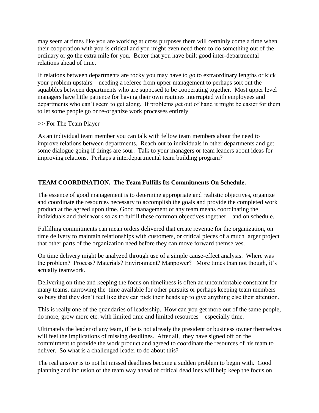may seem at times like you are working at cross purposes there will certainly come a time when their cooperation with you is critical and you might even need them to do something out of the ordinary or go the extra mile for you. Better that you have built good inter-departmental relations ahead of time.

If relations between departments are rocky you may have to go to extraordinary lengths or kick your problem upstairs – needing a referee from upper management to perhaps sort out the squabbles between departments who are supposed to be cooperating together. Most upper level managers have little patience for having their own routines interrupted with employees and departments who can't seem to get along. If problems get out of hand it might be easier for them to let some people go or re-organize work processes entirely.

#### >> For The Team Player

As an individual team member you can talk with fellow team members about the need to improve relations between departments. Reach out to individuals in other departments and get some dialogue going if things are sour. Talk to your managers or team leaders about ideas for improving relations. Perhaps a interdepartmental team building program?

## **TEAM COORDINATION. The Team Fulfills Its Commitments On Schedule.**

The essence of good management is to determine appropriate and realistic objectives, organize and coordinate the resources necessary to accomplish the goals and provide the completed work product at the agreed upon time. Good management of any team means coordinating the individuals and their work so as to fulfill these common objectives together – and on schedule.

Fulfilling commitments can mean orders delivered that create revenue for the organization, on time delivery to maintain relationships with customers, or critical pieces of a much larger project that other parts of the organization need before they can move forward themselves.

On time delivery might be analyzed through use of a simple cause-effect analysis. Where was the problem? Process? Materials? Environment? Manpower? More times than not though, it's actually teamwork.

Delivering on time and keeping the focus on timeliness is often an uncomfortable constraint for many teams, narrowing the time available for other pursuits or perhaps keeping team members so busy that they don't feel like they can pick their heads up to give anything else their attention.

This is really one of the quandaries of leadership. How can you get more out of the same people, do more, grow more etc. with limited time and limited resources – especially time.

Ultimately the leader of any team, if he is not already the president or business owner themselves will feel the implications of missing deadlines. After all, they have signed off on the commitment to provide the work product and agreed to coordinate the resources of his team to deliver. So what is a challenged leader to do about this?

The real answer is to not let missed deadlines become a sudden problem to begin with. Good planning and inclusion of the team way ahead of critical deadlines will help keep the focus on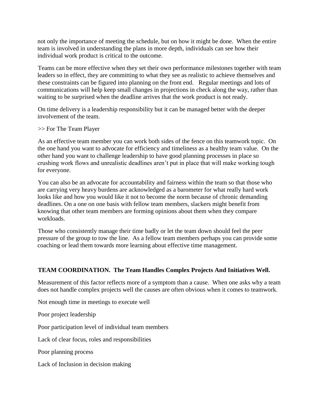not only the importance of meeting the schedule, but on how it might be done. When the entire team is involved in understanding the plans in more depth, individuals can see how their individual work product is critical to the outcome.

Teams can be more effective when they set their own performance milestones together with team leaders so in effect, they are committing to what they see as realistic to achieve themselves and these constraints can be figured into planning on the front end. Regular meetings and lots of communications will help keep small changes in projections in check along the way, rather than waiting to be surprised when the deadline arrives that the work product is not ready.

On time delivery is a leadership responsibility but it can be managed better with the deeper involvement of the team.

>> For The Team Player

As an effective team member you can work both sides of the fence on this teamwork topic. On the one hand you want to advocate for efficiency and timeliness as a healthy team value. On the other hand you want to challenge leadership to have good planning processes in place so crushing work flows and unrealistic deadlines aren't put in place that will make working tough for everyone.

You can also be an advocate for accountability and fairness within the team so that those who are carrying very heavy burdens are acknowledged as a barometer for what really hard work looks like and how you would like it not to become the norm because of chronic demanding deadlines. On a one on one basis with fellow team members, slackers might benefit from knowing that other team members are forming opinions about them when they compare workloads.

Those who consistently manage their time badly or let the team down should feel the peer pressure of the group to tow the line. As a fellow team members perhaps you can provide some coaching or lead them towards more learning about effective time management.

## **TEAM COORDINATION. The Team Handles Complex Projects And Initiatives Well.**

Measurement of this factor reflects more of a symptom than a cause. When one asks why a team does not handle complex projects well the causes are often obvious when it comes to teamwork.

Not enough time in meetings to execute well

Poor project leadership

Poor participation level of individual team members

Lack of clear focus, roles and responsibilities

Poor planning process

Lack of Inclusion in decision making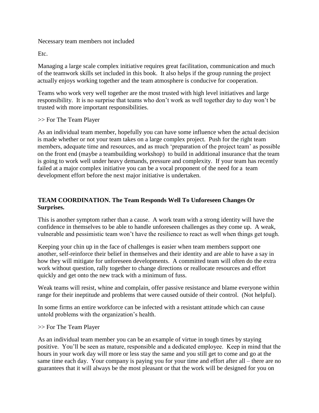#### Necessary team members not included

Etc.

Managing a large scale complex initiative requires great facilitation, communication and much of the teamwork skills set included in this book. It also helps if the group running the project actually enjoys working together and the team atmosphere is conducive for cooperation.

Teams who work very well together are the most trusted with high level initiatives and large responsibility. It is no surprise that teams who don't work as well together day to day won't be trusted with more important responsibilities.

#### >> For The Team Player

As an individual team member, hopefully you can have some influence when the actual decision is made whether or not your team takes on a large complex project. Push for the right team members, adequate time and resources, and as much 'preparation of the project team' as possible on the front end (maybe a teambuilding workshop) to build in additional insurance that the team is going to work well under heavy demands, pressure and complexity. If your team has recently failed at a major complex initiative you can be a vocal proponent of the need for a team development effort before the next major initiative is undertaken.

## **TEAM COORDINATION. The Team Responds Well To Unforeseen Changes Or Surprises.**

This is another symptom rather than a cause. A work team with a strong identity will have the confidence in themselves to be able to handle unforeseen challenges as they come up. A weak, vulnerable and pessimistic team won't have the resilience to react as well when things get tough.

Keeping your chin up in the face of challenges is easier when team members support one another, self-reinforce their belief in themselves and their identity and are able to have a say in how they will mitigate for unforeseen developments. A committed team will often do the extra work without question, rally together to change directions or reallocate resources and effort quickly and get onto the new track with a minimum of fuss.

Weak teams will resist, whine and complain, offer passive resistance and blame everyone within range for their ineptitude and problems that were caused outside of their control. (Not helpful).

In some firms an entire workforce can be infected with a resistant attitude which can cause untold problems with the organization's health.

## >> For The Team Player

As an individual team member you can be an example of virtue in tough times by staying positive. You'll be seen as mature, responsible and a dedicated employee. Keep in mind that the hours in your work day will more or less stay the same and you still get to come and go at the same time each day. Your company is paying you for your time and effort after all – there are no guarantees that it will always be the most pleasant or that the work will be designed for you on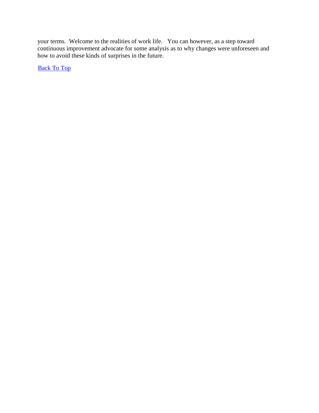your terms. Welcome to the realities of work life. You can however, as a step toward continuous improvement advocate for some analysis as to why changes were unforeseen and how to avoid these kinds of surprises in the future.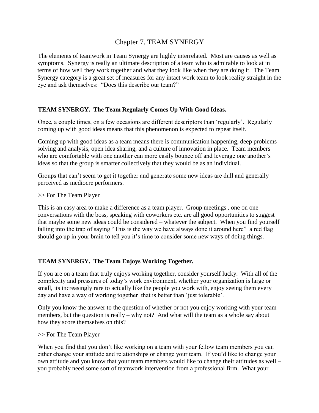## Chapter 7. TEAM SYNERGY

<span id="page-33-0"></span>The elements of teamwork in Team Synergy are highly interrelated. Most are causes as well as symptoms. Synergy is really an ultimate description of a team who is admirable to look at in terms of how well they work together and what they look like when they are doing it. The Team Synergy category is a great set of measures for any intact work team to look reality straight in the eye and ask themselves: "Does this describe our team?"

## **TEAM SYNERGY. The Team Regularly Comes Up With Good Ideas.**

Once, a couple times, on a few occasions are different descriptors than 'regularly'. Regularly coming up with good ideas means that this phenomenon is expected to repeat itself.

Coming up with good ideas as a team means there is communication happening, deep problems solving and analysis, open idea sharing, and a culture of innovation in place. Team members who are comfortable with one another can more easily bounce off and leverage one another's ideas so that the group is smarter collectively that they would be as an individual.

Groups that can't seem to get it together and generate some new ideas are dull and generally perceived as mediocre performers.

>> For The Team Player

This is an easy area to make a difference as a team player. Group meetings , one on one conversations with the boss, speaking with coworkers etc. are all good opportunities to suggest that maybe some new ideas could be considered – whatever the subject. When you find yourself falling into the trap of saying "This is the way we have always done it around here" a red flag should go up in your brain to tell you it's time to consider some new ways of doing things.

## **TEAM SYNERGY. The Team Enjoys Working Together.**

If you are on a team that truly enjoys working together, consider yourself lucky. With all of the complexity and pressures of today's work environment, whether your organization is large or small, its increasingly rare to actually like the people you work with, enjoy seeing them every day and have a way of working together that is better than 'just tolerable'.

Only you know the answer to the question of whether or not you enjoy working with your team members, but the question is really – why not? And what will the team as a whole say about how they score themselves on this?

>> For The Team Player

When you find that you don't like working on a team with your fellow team members you can either change your attitude and relationships or change your team. If you'd like to change your own attitude and you know that your team members would like to change their attitudes as well – you probably need some sort of teamwork intervention from a professional firm. What your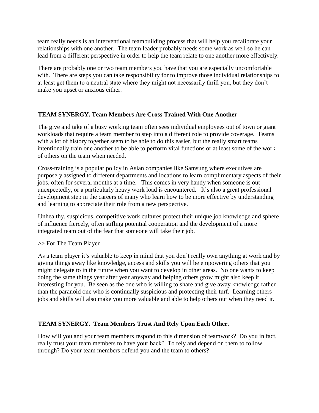team really needs is an interventional teambuilding process that will help you recalibrate your relationships with one another. The team leader probably needs some work as well so he can lead from a different perspective in order to help the team relate to one another more effectively.

There are probably one or two team members you have that you are especially uncomfortable with. There are steps you can take responsibility for to improve those individual relationships to at least get them to a neutral state where they might not necessarily thrill you, but they don't make you upset or anxious either.

## **TEAM SYNERGY. Team Members Are Cross Trained With One Another**

The give and take of a busy working team often sees individual employees out of town or giant workloads that require a team member to step into a different role to provide coverage. Teams with a lot of history together seem to be able to do this easier, but the really smart teams intentionally train one another to be able to perform vital functions or at least some of the work of others on the team when needed.

Cross-training is a popular policy in Asian companies like Samsung where executives are purposely assigned to different departments and locations to learn complimentary aspects of their jobs, often for several months at a time. This comes in very handy when someone is out unexpectedly, or a particularly heavy work load is encountered. It's also a great professional development step in the careers of many who learn how to be more effective by understanding and learning to appreciate their role from a new perspective.

Unhealthy, suspicious, competitive work cultures protect their unique job knowledge and sphere of influence fiercely, often stifling potential cooperation and the development of a more integrated team out of the fear that someone will take their job.

>> For The Team Player

As a team player it's valuable to keep in mind that you don't really own anything at work and by giving things away like knowledge, access and skills you will be empowering others that you might delegate to in the future when you want to develop in other areas. No one wants to keep doing the same things year after year anyway and helping others grow might also keep it interesting for you. Be seen as the one who is willing to share and give away knowledge rather than the paranoid one who is continually suspicious and protecting their turf. Learning others jobs and skills will also make you more valuable and able to help others out when they need it.

## **TEAM SYNERGY. Team Members Trust And Rely Upon Each Other.**

How will you and your team members respond to this dimension of teamwork? Do you in fact, really trust your team members to have your back? To rely and depend on them to follow through? Do your team members defend you and the team to others?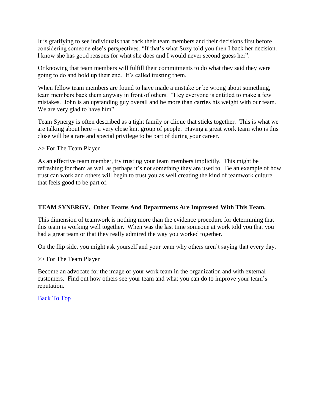It is gratifying to see individuals that back their team members and their decisions first before considering someone else's perspectives. "If that's what Suzy told you then I back her decision. I know she has good reasons for what she does and I would never second guess her".

Or knowing that team members will fulfill their commitments to do what they said they were going to do and hold up their end. It's called trusting them.

When fellow team members are found to have made a mistake or be wrong about something, team members back them anyway in front of others. "Hey everyone is entitled to make a few mistakes. John is an upstanding guy overall and he more than carries his weight with our team. We are very glad to have him".

Team Synergy is often described as a tight family or clique that sticks together. This is what we are talking about here – a very close knit group of people. Having a great work team who is this close will be a rare and special privilege to be part of during your career.

>> For The Team Player

As an effective team member, try trusting your team members implicitly. This might be refreshing for them as well as perhaps it's not something they are used to. Be an example of how trust can work and others will begin to trust you as well creating the kind of teamwork culture that feels good to be part of.

#### **TEAM SYNERGY. Other Teams And Departments Are Impressed With This Team.**

This dimension of teamwork is nothing more than the evidence procedure for determining that this team is working well together. When was the last time someone at work told you that you had a great team or that they really admired the way you worked together.

On the flip side, you might ask yourself and your team why others aren't saying that every day.

>> For The Team Player

Become an advocate for the image of your work team in the organization and with external customers. Find out how others see your team and what you can do to improve your team's reputation.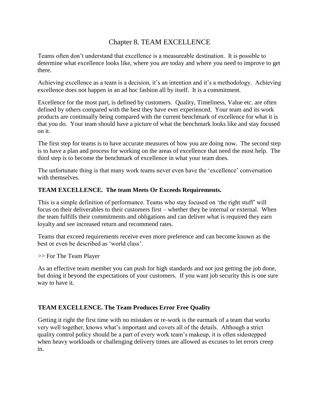## Chapter 8. TEAM EXCELLENCE

<span id="page-36-0"></span>Teams often don't understand that excellence is a measureable destination. It is possible to determine what excellence looks like, where you are today and where you need to improve to get there.

Achieving excellence as a team is a decision, it's an intention and it's a methodology. Achieving excellence does not happen in an ad hoc fashion all by itself. It is a commitment.

Excellence for the most part, is defined by customers. Quality, Timeliness, Value etc. are often defined by others compared with the best they have ever experienced. Your team and its work products are continually being compared with the current benchmark of excellence for what it is that you do. Your team should have a picture of what the benchmark looks like and stay focused on it.

The first step for teams is to have accurate measures of how you are doing now. The second step is to have a plan and process for working on the areas of excellence that need the most help. The third step is to become the benchmark of excellence in what your team does.

The unfortunate thing is that many work teams never even have the 'excellence' conversation with themselves.

## **TEAM EXCELLENCE. The team Meets Or Exceeds Requirements.**

This is a simple definition of performance. Teams who stay focused on 'the right stuff' will focus on their deliverables to their customers first – whether they be internal or external. When the team fulfills their commitments and obligations and can deliver what is required they earn loyalty and see increased return and recommend rates.

Teams that exceed requirements receive even more preference and can become known as the best or even be described as 'world class'.

>> For The Team Player

As an effective team member you can push for high standards and not just getting the job done, but doing it beyond the expectations of your customers. If you want job security this is one sure way to have it.

## **TEAM EXCELLENCE. The Team Produces Error Free Quality**

Getting it right the first time with no mistakes or re-work is the earmark of a team that works very well together, knows what's important and covers all of the details. Although a strict quality control policy should be a part of every work team's makeup, it is often sidestepped when heavy workloads or challenging delivery times are allowed as excuses to let errors creep in.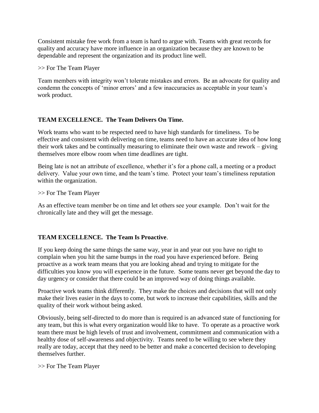Consistent mistake free work from a team is hard to argue with. Teams with great records for quality and accuracy have more influence in an organization because they are known to be dependable and represent the organization and its product line well.

>> For The Team Player

Team members with integrity won't tolerate mistakes and errors. Be an advocate for quality and condemn the concepts of 'minor errors' and a few inaccuracies as acceptable in your team's work product.

## **TEAM EXCELLENCE. The Team Delivers On Time.**

Work teams who want to be respected need to have high standards for timeliness. To be effective and consistent with delivering on time, teams need to have an accurate idea of how long their work takes and be continually measuring to eliminate their own waste and rework – giving themselves more elbow room when time deadlines are tight.

Being late is not an attribute of excellence, whether it's for a phone call, a meeting or a product delivery. Value your own time, and the team's time. Protect your team's timeliness reputation within the organization.

>> For The Team Player

As an effective team member be on time and let others see your example. Don't wait for the chronically late and they will get the message.

## **TEAM EXCELLENCE. The Team Is Proactive**.

If you keep doing the same things the same way, year in and year out you have no right to complain when you hit the same bumps in the road you have experienced before. Being proactive as a work team means that you are looking ahead and trying to mitigate for the difficulties you know you will experience in the future. Some teams never get beyond the day to day urgency or consider that there could be an improved way of doing things available.

Proactive work teams think differently. They make the choices and decisions that will not only make their lives easier in the days to come, but work to increase their capabilities, skills and the quality of their work without being asked.

Obviously, being self-directed to do more than is required is an advanced state of functioning for any team, but this is what every organization would like to have. To operate as a proactive work team there must be high levels of trust and involvement, commitment and communication with a healthy dose of self-awareness and objectivity. Teams need to be willing to see where they really are today, accept that they need to be better and make a concerted decision to developing themselves further.

>> For The Team Player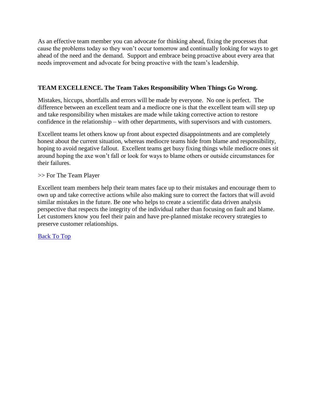As an effective team member you can advocate for thinking ahead, fixing the processes that cause the problems today so they won't occur tomorrow and continually looking for ways to get ahead of the need and the demand. Support and embrace being proactive about every area that needs improvement and advocate for being proactive with the team's leadership.

## **TEAM EXCELLENCE. The Team Takes Responsibility When Things Go Wrong.**

Mistakes, hiccups, shortfalls and errors will be made by everyone. No one is perfect. The difference between an excellent team and a mediocre one is that the excellent team will step up and take responsibility when mistakes are made while taking corrective action to restore confidence in the relationship – with other departments, with supervisors and with customers.

Excellent teams let others know up front about expected disappointments and are completely honest about the current situation, whereas mediocre teams hide from blame and responsibility, hoping to avoid negative fallout. Excellent teams get busy fixing things while mediocre ones sit around hoping the axe won't fall or look for ways to blame others or outside circumstances for their failures.

>> For The Team Player

Excellent team members help their team mates face up to their mistakes and encourage them to own up and take corrective actions while also making sure to correct the factors that will avoid similar mistakes in the future. Be one who helps to create a scientific data driven analysis perspective that respects the integrity of the individual rather than focusing on fault and blame. Let customers know you feel their pain and have pre-planned mistake recovery strategies to preserve customer relationships.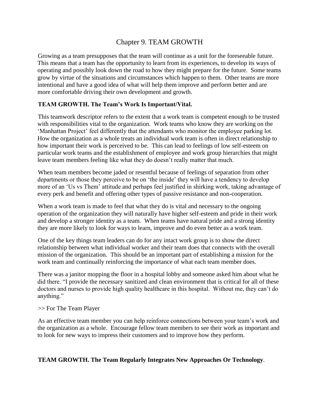## Chapter 9. TEAM GROWTH

<span id="page-39-0"></span>Growing as a team presupposes that the team will continue as a unit for the foreseeable future. This means that a team has the opportunity to learn from its experiences, to develop its ways of operating and possibly look down the road to how they might prepare for the future. Some teams grow by virtue of the situations and circumstances which happen to them. Other teams are more intentional and have a good idea of what will help them improve and perform better and are more comfortable driving their own development and growth.

## **TEAM GROWTH. The Team's Work Is Important/Vital.**

This teamwork descriptor refers to the extent that a work team is competent enough to be trusted with responsibilities vital to the organization. Work teams who know they are working on the 'Manhattan Project' feel differently that the attendants who monitor the employee parking lot. How the organization as a whole treats an individual work team is often in direct relationship to how important their work is perceived to be. This can lead to feelings of low self-esteem on particular work teams and the establishment of employee and work group hierarchies that might leave team members feeling like what they do doesn't really matter that much.

When team members become jaded or resentful because of feelings of separation from other departments or those they perceive to be on 'the inside' they will have a tendency to develop more of an 'Us vs Them' attitude and perhaps feel justified in shirking work, taking advantage of every perk and benefit and offering other types of passive resistance and non-cooperation.

When a work team is made to feel that what they do is vital and necessary to the ongoing operation of the organization they will naturally have higher self-esteem and pride in their work and develop a stronger identity as a team. When teams have natural pride and a strong identity they are more likely to look for ways to learn, improve and do even better as a work team.

One of the key things team leaders can do for any intact work group is to show the direct relationship between what individual worker and their team does that connects with the overall mission of the organization. This should be an important part of establishing a mission for the work team and continually reinforcing the importance of what each team member does.

There was a janitor mopping the floor in a hospital lobby and someone asked him about what he did there. "I provide the necessary sanitized and clean environment that is critical for all of these doctors and nurses to provide high quality healthcare in this hospital. Without me, they can't do anything."

>> For The Team Player

As an effective team member you can help reinforce connections between your team's work and the organization as a whole. Encourage fellow team members to see their work as important and to look for new ways to impress their customers and to improve how they perform.

## **TEAM GROWTH. The Team Regularly Integrates New Approaches Or Technology**.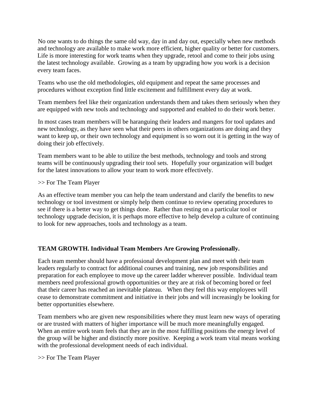No one wants to do things the same old way, day in and day out, especially when new methods and technology are available to make work more efficient, higher quality or better for customers. Life is more interesting for work teams when they upgrade, retool and come to their jobs using the latest technology available. Growing as a team by upgrading how you work is a decision every team faces.

Teams who use the old methodologies, old equipment and repeat the same processes and procedures without exception find little excitement and fulfillment every day at work.

Team members feel like their organization understands them and takes them seriously when they are equipped with new tools and technology and supported and enabled to do their work better.

In most cases team members will be haranguing their leaders and mangers for tool updates and new technology, as they have seen what their peers in others organizations are doing and they want to keep up, or their own technology and equipment is so worn out it is getting in the way of doing their job effectively.

Team members want to be able to utilize the best methods, technology and tools and strong teams will be continuously upgrading their tool sets. Hopefully your organization will budget for the latest innovations to allow your team to work more effectively.

#### >> For The Team Player

As an effective team member you can help the team understand and clarify the benefits to new technology or tool investment or simply help them continue to review operating procedures to see if there is a better way to get things done. Rather than resting on a particular tool or technology upgrade decision, it is perhaps more effective to help develop a culture of continuing to look for new approaches, tools and technology as a team.

## **TEAM GROWTH. Individual Team Members Are Growing Professionally.**

Each team member should have a professional development plan and meet with their team leaders regularly to contract for additional courses and training, new job responsibilities and preparation for each employee to move up the career ladder wherever possible. Individual team members need professional growth opportunities or they are at risk of becoming bored or feel that their career has reached an inevitable plateau. When they feel this way employees will cease to demonstrate commitment and initiative in their jobs and will increasingly be looking for better opportunities elsewhere.

Team members who are given new responsibilities where they must learn new ways of operating or are trusted with matters of higher importance will be much more meaningfully engaged. When an entire work team feels that they are in the most fulfilling positions the energy level of the group will be higher and distinctly more positive. Keeping a work team vital means working with the professional development needs of each individual.

>> For The Team Player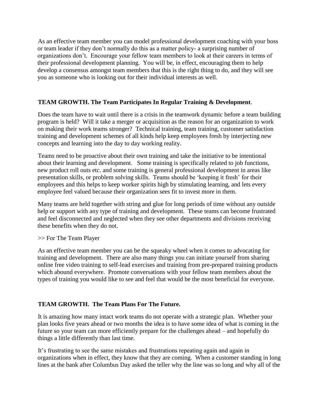As an effective team member you can model professional development coaching with your boss or team leader if they don't normally do this as a matter policy- a surprising number of organizations don't. Encourage your fellow team members to look at their careers in terms of their professional development planning. You will be, in effect, encouraging them to help develop a consensus amongst team members that this is the right thing to do, and they will see you as someone who is looking out for their individual interests as well.

## **TEAM GROWTH. The Team Participates In Regular Training & Development**.

Does the team have to wait until there is a crisis in the teamwork dynamic before a team building program is held? Will it take a merger or acquisition as the reason for an organization to work on making their work teams stronger? Technical training, team training, customer satisfaction training and development schemes of all kinds help keep employees fresh by interjecting new concepts and learning into the day to day working reality.

Teams need to be proactive about their own training and take the initiative to be intentional about their learning and development. Some training is specifically related to job functions, new product roll outs etc. and some training is general professional development in areas like presentation skills, or problem solving skills. Teams should be 'keeping it fresh' for their employees and this helps to keep worker spirits high by stimulating learning, and lets every employee feel valued because their organization sees fit to invest more in them.

Many teams are held together with string and glue for long periods of time without any outside help or support with any type of training and development. These teams can become frustrated and feel disconnected and neglected when they see other departments and divisions receiving these benefits when they do not.

>> For The Team Player

As an effective team member you can be the squeaky wheel when it comes to advocating for training and development. There are also many things you can initiate yourself from sharing online free video training to self-lead exercises and training from pre-prepared training products which abound everywhere. Promote conversations with your fellow team members about the types of training you would like to see and feel that would be the most beneficial for everyone.

## **TEAM GROWTH. The Team Plans For The Future.**

It is amazing how many intact work teams do not operate with a strategic plan. Whether your plan looks five years ahead or two months the idea is to have some idea of what is coming in the future so your team can more efficiently prepare for the challenges ahead – and hopefully do things a little differently than last time.

It's frustrating to see the same mistakes and frustrations repeating again and again in organizations when in effect, they know that they are coming. When a customer standing in long lines at the bank after Columbus Day asked the teller why the line was so long and why all of the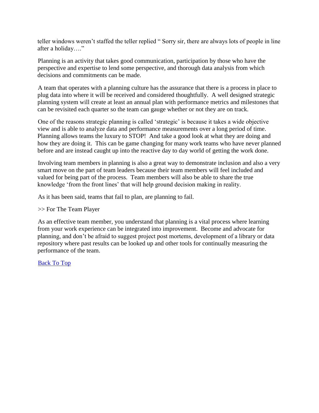teller windows weren't staffed the teller replied " Sorry sir, there are always lots of people in line after a holiday…."

Planning is an activity that takes good communication, participation by those who have the perspective and expertise to lend some perspective, and thorough data analysis from which decisions and commitments can be made.

A team that operates with a planning culture has the assurance that there is a process in place to plug data into where it will be received and considered thoughtfully. A well designed strategic planning system will create at least an annual plan with performance metrics and milestones that can be revisited each quarter so the team can gauge whether or not they are on track.

One of the reasons strategic planning is called 'strategic' is because it takes a wide objective view and is able to analyze data and performance measurements over a long period of time. Planning allows teams the luxury to STOP! And take a good look at what they are doing and how they are doing it. This can be game changing for many work teams who have never planned before and are instead caught up into the reactive day to day world of getting the work done.

Involving team members in planning is also a great way to demonstrate inclusion and also a very smart move on the part of team leaders because their team members will feel included and valued for being part of the process. Team members will also be able to share the true knowledge 'from the front lines' that will help ground decision making in reality.

As it has been said, teams that fail to plan, are planning to fail.

#### >> For The Team Player

As an effective team member, you understand that planning is a vital process where learning from your work experience can be integrated into improvement. Become and advocate for planning, and don't be afraid to suggest project post mortems, development of a library or data repository where past results can be looked up and other tools for continually measuring the performance of the team.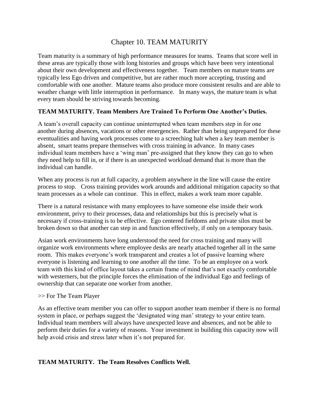## Chapter 10. TEAM MATURITY

<span id="page-43-0"></span>Team maturity is a summary of high performance measures for teams. Teams that score well in these areas are typically those with long histories and groups which have been very intentional about their own development and effectiveness together. Team members on mature teams are typically less Ego driven and competitive, but are rather much more accepting, trusting and comfortable with one another. Mature teams also produce more consistent results and are able to weather change with little interruption in performance. In many ways, the mature team is what every team should be striving towards becoming.

## **TEAM MATURITY. Team Members Are Trained To Perform One Another's Duties.**

A team's overall capacity can continue uninterrupted when team members step in for one another during absences, vacations or other emergencies. Rather than being unprepared for these eventualities and having work processes come to a screeching halt when a key team member is absent, smart teams prepare themselves with cross training in advance. In many cases individual team members have a 'wing man' pre-assigned that they know they can go to when they need help to fill in, or if there is an unexpected workload demand that is more than the individual can handle.

When any process is run at full capacity, a problem anywhere in the line will cause the entire process to stop. Cross training provides work arounds and additional mitigation capacity so that team processes as a whole can continue. This in effect, makes a work team more capable.

There is a natural resistance with many employees to have someone else inside their work environment, privy to their processes, data and relationships but this is precisely what is necessary if cross-training is to be effective. Ego centered fiefdoms and private silos must be broken down so that another can step in and function effectively, if only on a temporary basis.

Asian work environments have long understood the need for cross training and many will organize work environments where employee desks are nearly attached together all in the same room. This makes everyone's work transparent and creates a lot of passive learning where everyone is listening and learning to one another all the time. To be an employee on a work team with this kind of office layout takes a certain frame of mind that's not exactly comfortable with westerners, but the principle forces the elimination of the individual Ego and feelings of ownership that can separate one worker from another.

#### >> For The Team Player

As an effective team member you can offer to support another team member if there is no formal system in place, or perhaps suggest the 'designated wing man' strategy to your entire team. Individual team members will always have unexpected leave and absences, and not be able to perform their duties for a variety of reasons. Your investment in building this capacity now will help avoid crisis and stress later when it's not prepared for.

#### **TEAM MATURITY. The Team Resolves Conflicts Well.**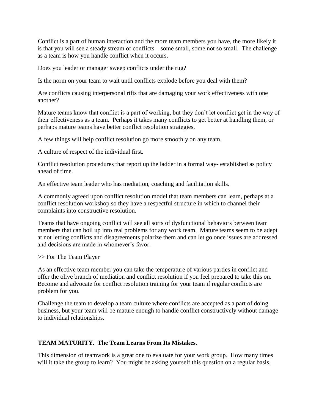Conflict is a part of human interaction and the more team members you have, the more likely it is that you will see a steady stream of conflicts – some small, some not so small. The challenge as a team is how you handle conflict when it occurs.

Does you leader or manager sweep conflicts under the rug?

Is the norm on your team to wait until conflicts explode before you deal with them?

Are conflicts causing interpersonal rifts that are damaging your work effectiveness with one another?

Mature teams know that conflict is a part of working, but they don't let conflict get in the way of their effectiveness as a team. Perhaps it takes many conflicts to get better at handling them, or perhaps mature teams have better conflict resolution strategies.

A few things will help conflict resolution go more smoothly on any team.

A culture of respect of the individual first.

Conflict resolution procedures that report up the ladder in a formal way- established as policy ahead of time.

An effective team leader who has mediation, coaching and facilitation skills.

A commonly agreed upon conflict resolution model that team members can learn, perhaps at a conflict resolution workshop so they have a respectful structure in which to channel their complaints into constructive resolution.

Teams that have ongoing conflict will see all sorts of dysfunctional behaviors between team members that can boil up into real problems for any work team. Mature teams seem to be adept at not letting conflicts and disagreements polarize them and can let go once issues are addressed and decisions are made in whomever's favor.

>> For The Team Player

As an effective team member you can take the temperature of various parties in conflict and offer the olive branch of mediation and conflict resolution if you feel prepared to take this on. Become and advocate for conflict resolution training for your team if regular conflicts are problem for you.

Challenge the team to develop a team culture where conflicts are accepted as a part of doing business, but your team will be mature enough to handle conflict constructively without damage to individual relationships.

## **TEAM MATURITY. The Team Learns From Its Mistakes.**

This dimension of teamwork is a great one to evaluate for your work group. How many times will it take the group to learn? You might be asking yourself this question on a regular basis.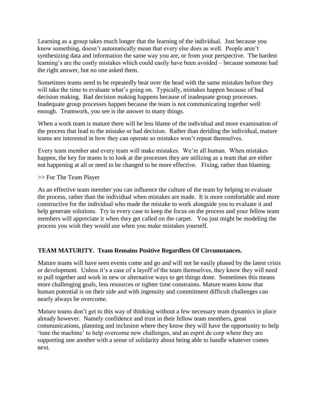Learning as a group takes much longer that the learning of the individual. Just because you know something, doesn't automatically mean that every else does as well. People aren't synthesizing data and information the same way you are, or from your perspective. The hardest learning's are the costly mistakes which could easily have been avoided – because someone had the right answer, but no one asked them.

Sometimes teams need to be repeatedly beat over the head with the same mistakes before they will take the time to evaluate what's going on. Typically, mistakes happen because of bad decision making. Bad decision making happens because of inadequate group processes. Inadequate group processes happen because the team is not communicating together well enough. Teamwork, you see is the answer to many things.

When a work team is mature there will be less blame of the individual and more examination of the process that lead to the mistake or bad decision. Rather than deriding the individual, mature teams are interested in how they can operate so mistakes won't repeat themselves.

Every team member and every team will make mistakes. We're all human. When mistakes happen, the key for teams is to look at the processes they are utilizing as a team that are either not happening at all or need to be changed to be more effective. Fixing, rather than blaming.

>> For The Team Player

As an effective team member you can influence the culture of the team by helping to evaluate the process, rather than the individual when mistakes are made. It is more comfortable and more constructive for the individual who made the mistake to work alongside you to evaluate it and help generate solutions. Try in every case to keep the focus on the process and your fellow team members will appreciate it when they get called on the carpet. You just might be modeling the process you wish they would use when you make mistakes yourself.

## **TEAM MATURITY. Team Remains Positive Regardless Of Circumstances.**

Mature teams will have seen events come and go and will not be easily phased by the latest crisis or development. Unless it's a case of a layoff of the team themselves, they know they will need to pull together and work in new or alternative ways to get things done. Sometimes this means more challenging goals, less resources or tighter time constraints. Mature teams know that human potential is on their side and with ingenuity and commitment difficult challenges can nearly always be overcome.

Mature teams don't get to this way of thinking without a few necessary team dynamics in place already however. Namely confidence and trust in their fellow team members, great communications, planning and inclusion where they know they will have the opportunity to help 'tune the machine' to help overcome new challenges, and an esprit de corp where they are supporting one another with a sense of solidarity about being able to handle whatever comes next.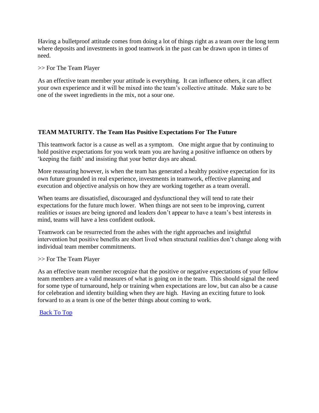Having a bulletproof attitude comes from doing a lot of things right as a team over the long term where deposits and investments in good teamwork in the past can be drawn upon in times of need.

>> For The Team Player

As an effective team member your attitude is everything. It can influence others, it can affect your own experience and it will be mixed into the team's collective attitude. Make sure to be one of the sweet ingredients in the mix, not a sour one.

## **TEAM MATURITY. The Team Has Positive Expectations For The Future**

This teamwork factor is a cause as well as a symptom. One might argue that by continuing to hold positive expectations for you work team you are having a positive influence on others by 'keeping the faith' and insisting that your better days are ahead.

More reassuring however, is when the team has generated a healthy positive expectation for its own future grounded in real experience, investments in teamwork, effective planning and execution and objective analysis on how they are working together as a team overall.

When teams are dissatisfied, discouraged and dysfunctional they will tend to rate their expectations for the future much lower. When things are not seen to be improving, current realities or issues are being ignored and leaders don't appear to have a team's best interests in mind, teams will have a less confident outlook.

Teamwork can be resurrected from the ashes with the right approaches and insightful intervention but positive benefits are short lived when structural realities don't change along with individual team member commitments.

>> For The Team Player

As an effective team member recognize that the positive or negative expectations of your fellow team members are a valid measures of what is going on in the team. This should signal the need for some type of turnaround, help or training when expectations are low, but can also be a cause for celebration and identity building when they are high. Having an exciting future to look forward to as a team is one of the better things about coming to work.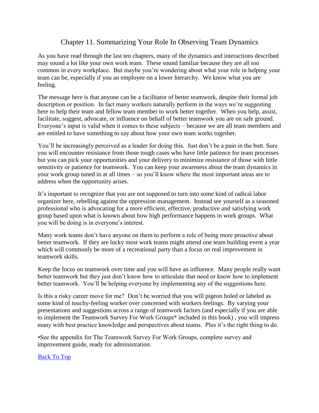## Chapter 11. Summarizing Your Role In Observing Team Dynamics

<span id="page-47-0"></span>As you have read through the last ten chapters, many of the dynamics and interactions described may sound a lot like your own work team. These sound familiar because they are all too common in every workplace. But maybe you're wondering about what your role in helping your team can be, especially if you an employee on a lower hierarchy. We know what you are feeling.

The message here is that anyone can be a facilitator of better teamwork, despite their formal job description or position. In fact many workers naturally perform in the ways we're suggesting here to help their team and fellow team member to work better together. When you help, assist, facilitate, suggest, advocate, or influence on behalf of better teamwork you are on safe ground. Everyone's input is valid when it comes to these subjects – because we are all team members and are entitled to have something to say about how your own team works together.

You'll be increasingly perceived as a leader for doing this. Just don't be a pain in the butt. Sure you will encounter resistance from those tough cases who have little patience for team processes but you can pick your opportunities and your delivery to minimize resistance of those with little sensitivity or patience for teamwork. You can keep your awareness about the team dynamics in your work group tuned in at all times – so you'll know where the most important areas are to address when the opportunity arises.

It's important to recognize that you are not supposed to turn into some kind of radical labor organizer here, rebelling against the oppression management. Instead see yourself as a seasoned professional who is advocating for a more efficient, effective, productive and satisfying work group based upon what is known about how high performance happens in work groups. What you will be doing is in everyone's interest.

Many work teams don't have anyone on them to perform a role of being more proactive about better teamwork. If they are lucky most work teams might attend one team building event a year which will commonly be more of a recreational party than a focus on real improvement in teamwork skills.

Keep the focus on teamwork over time and you will have an influence. Many people really want better teamwork but they just don't know how to articulate that need or know how to implement better teamwork. You'll be helping everyone by implementing any of the suggestions here.

Is this a risky career move for me? Don't be worried that you will pigeon holed or labeled as some kind of touchy-feeling worker over concerned with workers feelings. By varying your presentations and suggestions across a range of teamwork factors (and especially if you are able to implement the Teamwork Survey For Work Groups\* included in this book) , you will impress many with best practice knowledge and perspectives about teams. Plus it's the right thing to do.

•See the appendix for The Teamwork Survey For Work Groups, complete survey and improvement guide, ready for administration.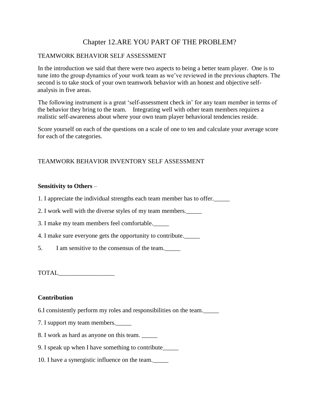## Chapter 12.ARE YOU PART OF THE PROBLEM?

## <span id="page-48-0"></span>TEAMWORK BEHAVIOR SELF ASSESSMENT

In the introduction we said that there were two aspects to being a better team player. One is to tune into the group dynamics of your work team as we've reviewed in the previous chapters. The second is to take stock of your own teamwork behavior with an honest and objective selfanalysis in five areas.

The following instrument is a great 'self-assessment check in' for any team member in terms of the behavior they bring to the team. Integrating well with other team members requires a realistic self-awareness about where your own team player behavioral tendencies reside.

Score yourself on each of the questions on a scale of one to ten and calculate your average score for each of the categories.

## TEAMWORK BEHAVIOR INVENTORY SELF ASSESSMENT

#### **Sensitivity to Others** –

- 1. I appreciate the individual strengths each team member has to offer.\_\_\_\_\_
- 2. I work well with the diverse styles of my team members.\_\_\_\_\_
- 3. I make my team members feel comfortable.\_\_\_\_\_
- 4. I make sure everyone gets the opportunity to contribute.\_\_\_\_\_
- 5. I am sensitive to the consensus of the team.\_\_\_\_\_

TOTAL\_\_\_\_\_\_\_\_\_\_\_\_\_\_\_\_\_\_

#### **Contribution**

- 6.I consistently perform my roles and responsibilities on the team.\_\_\_\_\_
- 7. I support my team members.\_\_\_\_\_
- 8. I work as hard as anyone on this team. \_\_\_\_\_
- 9. I speak up when I have something to contribute\_\_\_\_\_
- 10. I have a synergistic influence on the team.\_\_\_\_\_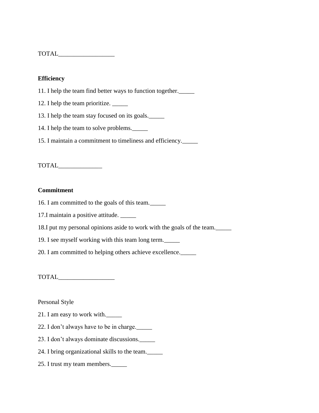| <b>TOTAL</b> |
|--------------|
|--------------|

#### **Efficiency**

- 11. I help the team find better ways to function together.\_\_\_\_\_
- 12. I help the team prioritize. \_\_\_\_\_
- 13. I help the team stay focused on its goals.\_\_\_\_\_
- 14. I help the team to solve problems.
- 15. I maintain a commitment to timeliness and efficiency.\_\_\_\_\_

TOTAL\_\_\_\_\_\_\_\_\_\_\_\_\_\_

#### **Commitment**

16. I am committed to the goals of this team.\_\_\_\_\_

17.I maintain a positive attitude. \_\_\_\_\_

- 18.I put my personal opinions aside to work with the goals of the team.\_\_\_\_\_
- 19. I see myself working with this team long term.\_\_\_\_\_

20. I am committed to helping others achieve excellence.\_\_\_\_\_

TOTAL\_\_\_\_\_\_\_\_\_\_\_\_\_\_\_\_\_\_

Personal Style

- 21. I am easy to work with.\_\_\_\_\_
- 22. I don't always have to be in charge.\_\_\_\_\_
- 23. I don't always dominate discussions.\_\_\_\_\_
- 24. I bring organizational skills to the team.\_\_\_\_\_
- 25. I trust my team members.\_\_\_\_\_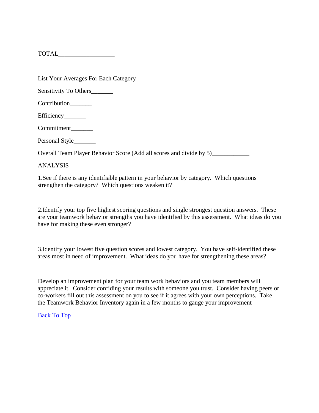TOTAL\_\_\_\_\_\_\_\_\_\_\_\_\_\_\_\_\_\_

List Your Averages For Each Category

Sensitivity To Others\_\_\_\_\_\_\_\_\_

Contribution

Efficiency\_\_\_\_\_\_\_\_\_

Commitment\_\_\_\_\_\_\_

Personal Style\_\_\_\_\_\_\_

Overall Team Player Behavior Score (Add all scores and divide by 5)\_\_\_\_\_\_\_\_\_\_\_\_\_

ANALYSIS

1.See if there is any identifiable pattern in your behavior by category. Which questions strengthen the category? Which questions weaken it?

2.Identify your top five highest scoring questions and single strongest question answers. These are your teamwork behavior strengths you have identified by this assessment. What ideas do you have for making these even stronger?

3.Identify your lowest five question scores and lowest category. You have self-identified these areas most in need of improvement. What ideas do you have for strengthening these areas?

Develop an improvement plan for your team work behaviors and you team members will appreciate it. Consider confiding your results with someone you trust. Consider having peers or co-workers fill out this assessment on you to see if it agrees with your own perceptions. Take the Teamwork Behavior Inventory again in a few months to gauge your improvement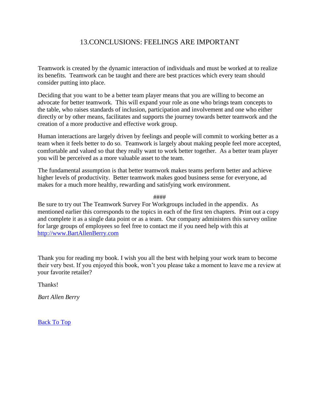## 13.CONCLUSIONS: FEELINGS ARE IMPORTANT

<span id="page-51-0"></span>Teamwork is created by the dynamic interaction of individuals and must be worked at to realize its benefits. Teamwork can be taught and there are best practices which every team should consider putting into place.

Deciding that you want to be a better team player means that you are willing to become an advocate for better teamwork. This will expand your role as one who brings team concepts to the table, who raises standards of inclusion, participation and involvement and one who either directly or by other means, facilitates and supports the journey towards better teamwork and the creation of a more productive and effective work group.

Human interactions are largely driven by feelings and people will commit to working better as a team when it feels better to do so. Teamwork is largely about making people feel more accepted, comfortable and valued so that they really want to work better together. As a better team player you will be perceived as a more valuable asset to the team.

The fundamental assumption is that better teamwork makes teams perform better and achieve higher levels of productivity. Better teamwork makes good business sense for everyone, ad makes for a much more healthy, rewarding and satisfying work environment.

####

Be sure to try out The Teamwork Survey For Workgroups included in the appendix. As mentioned earlier this corresponds to the topics in each of the first ten chapters. Print out a copy and complete it as a single data point or as a team. Our company administers this survey online for large groups of employees so feel free to contact me if you need help with this at [http://www.BartAllenBerry.com](http://www.bartallenberry.com/)

Thank you for reading my book. I wish you all the best with helping your work team to become their very best. If you enjoyed this book, won't you please take a moment to leave me a review at your favorite retailer?

Thanks!

*Bart Allen Berry*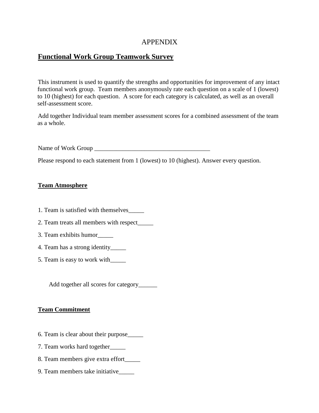## APPENDIX

## <span id="page-52-0"></span>**Functional Work Group Teamwork Survey**

This instrument is used to quantify the strengths and opportunities for improvement of any intact functional work group. Team members anonymously rate each question on a scale of 1 (lowest) to 10 (highest) for each question. A score for each category is calculated, as well as an overall self-assessment score.

Add together Individual team member assessment scores for a combined assessment of the team as a whole.

Name of Work Group \_\_\_\_\_\_\_\_\_\_\_\_\_\_\_\_\_\_\_\_\_\_\_\_\_\_\_\_\_\_\_\_\_\_\_\_\_

Please respond to each statement from 1 (lowest) to 10 (highest). Answer every question.

## **Team Atmosphere**

- 1. Team is satisfied with themselves\_\_\_\_\_
- 2. Team treats all members with respect\_\_\_\_\_
- 3. Team exhibits humor\_\_\_\_\_
- 4. Team has a strong identity\_\_\_\_\_
- 5. Team is easy to work with\_\_\_\_\_

Add together all scores for category\_\_\_\_\_\_\_

#### **Team Commitment**

- 6. Team is clear about their purpose\_\_\_\_\_
- 7. Team works hard together\_\_\_\_\_
- 8. Team members give extra effort\_\_\_\_\_
- 9. Team members take initiative\_\_\_\_\_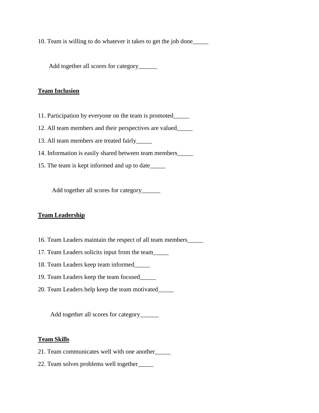10. Team is willing to do whatever it takes to get the job done\_\_\_\_\_

Add together all scores for category\_\_\_\_\_\_\_\_\_

#### **Team Inclusion**

- 11. Participation by everyone on the team is promoted\_\_\_\_\_
- 12. All team members and their perspectives are valued\_\_\_\_\_
- 13. All team members are treated fairly\_\_\_\_\_
- 14. Information is easily shared between team members\_\_\_\_\_
- 15. The team is kept informed and up to date\_\_\_\_\_

Add together all scores for category\_\_\_\_\_\_\_

## **Team Leadership**

- 16. Team Leaders maintain the respect of all team members\_\_\_\_\_
- 17. Team Leaders solicits input from the team\_\_\_\_\_
- 18. Team Leaders keep team informed\_\_\_\_\_
- 19. Team Leaders keep the team focused\_\_\_\_\_
- 20. Team Leaders help keep the team motivated\_\_\_\_\_

Add together all scores for category\_\_\_\_\_\_

#### **Team Skills**

- 21. Team communicates well with one another\_\_\_\_\_
- 22. Team solves problems well together\_\_\_\_\_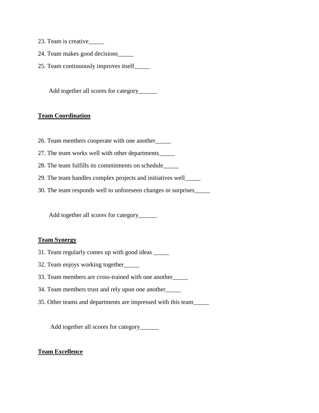- 23. Team is creative\_\_\_\_\_
- 24. Team makes good decisions\_\_\_\_\_
- 25. Team continuously improves itself\_\_\_\_\_

Add together all scores for category\_\_\_\_\_\_

#### **Team Coordination**

- 26. Team members cooperate with one another\_\_\_\_\_
- 27. The team works well with other departments\_\_\_\_\_
- 28. The team fulfills its commitments on schedule\_\_\_\_\_
- 29. The team handles complex projects and initiatives well\_\_\_\_\_
- 30. The team responds well to unforeseen changes or surprises\_\_\_\_\_

Add together all scores for category\_\_\_\_\_\_\_\_\_

#### **Team Synergy**

- 31. Team regularly comes up with good ideas \_\_\_\_\_
- 32. Team enjoys working together\_\_\_\_\_
- 33. Team members are cross-trained with one another\_\_\_\_\_
- 34. Team members trust and rely upon one another\_\_\_\_\_
- 35. Other teams and departments are impressed with this team\_\_\_\_\_

Add together all scores for category\_\_\_\_\_\_\_

#### **Team Excellence**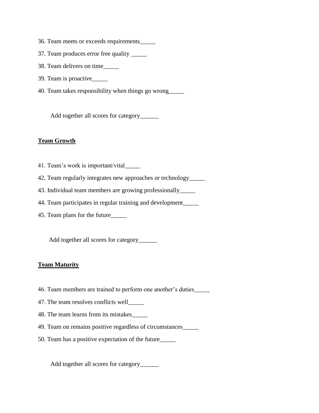- 36. Team meets or exceeds requirements\_\_\_\_\_
- 37. Team produces error free quality \_\_\_\_\_
- 38. Team delivers on time\_\_\_\_\_
- 39. Team is proactive\_\_\_\_\_
- 40. Team takes responsibility when things go wrong\_\_\_\_\_

Add together all scores for category\_\_\_\_\_\_\_\_\_

#### **Team Growth**

- 41. Team's work is important/vital\_\_\_\_\_
- 42. Team regularly integrates new approaches or technology\_\_\_\_\_
- 43. Individual team members are growing professionally\_\_\_\_\_
- 44. Team participates in regular training and development\_\_\_\_\_
- 45. Team plans for the future\_\_\_\_\_

Add together all scores for category\_\_\_\_\_\_\_

#### **Team Maturity**

- 46. Team members are trained to perform one another's duties\_\_\_\_\_
- 47. The team resolves conflicts well\_\_\_\_\_
- 48. The team learns from its mistakes\_\_\_\_\_
- 49. Team on remains positive regardless of circumstances\_\_\_\_\_
- 50. Team has a positive expectation of the future\_\_\_\_\_

Add together all scores for category\_\_\_\_\_\_\_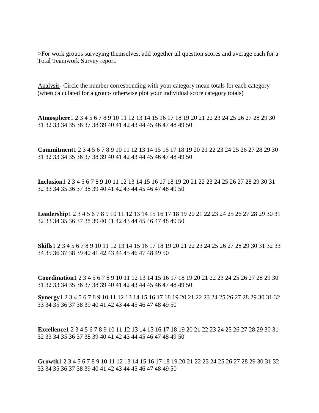>For work groups surveying themselves, add together all question scores and average each for a Total Teamwork Survey report.

Analysis- Circle the number corresponding with your category mean totals for each category (when calculated for a group- otherwise plot your individual score category totals)

**Atmosphere**1 2 3 4 5 6 7 8 9 10 11 12 13 14 15 16 17 18 19 20 21 22 23 24 25 26 27 28 29 30 31 32 33 34 35 36 37 38 39 40 41 42 43 44 45 46 47 48 49 50

**Commitment**1 2 3 4 5 6 7 8 9 10 11 12 13 14 15 16 17 18 19 20 21 22 23 24 25 26 27 28 29 30 31 32 33 34 35 36 37 38 39 40 41 42 43 44 45 46 47 48 49 50

**Inclusion**1 2 3 4 5 6 7 8 9 10 11 12 13 14 15 16 17 18 19 20 21 22 23 24 25 26 27 28 29 30 31 32 33 34 35 36 37 38 39 40 41 42 43 44 45 46 47 48 49 50

**Leadership**1 2 3 4 5 6 7 8 9 10 11 12 13 14 15 16 17 18 19 20 21 22 23 24 25 26 27 28 29 30 31 32 33 34 35 36 37 38 39 40 41 42 43 44 45 46 47 48 49 50

**Skills**1 2 3 4 5 6 7 8 9 10 11 12 13 14 15 16 17 18 19 20 21 22 23 24 25 26 27 28 29 30 31 32 33 34 35 36 37 38 39 40 41 42 43 44 45 46 47 48 49 50

**Coordination**1 2 3 4 5 6 7 8 9 10 11 12 13 14 15 16 17 18 19 20 21 22 23 24 25 26 27 28 29 30 31 32 33 34 35 36 37 38 39 40 41 42 43 44 45 46 47 48 49 50

**Synergy**1 2 3 4 5 6 7 8 9 10 11 12 13 14 15 16 17 18 19 20 21 22 23 24 25 26 27 28 29 30 31 32 33 34 35 36 37 38 39 40 41 42 43 44 45 46 47 48 49 50

**Excellence**1 2 3 4 5 6 7 8 9 10 11 12 13 14 15 16 17 18 19 20 21 22 23 24 25 26 27 28 29 30 31 32 33 34 35 36 37 38 39 40 41 42 43 44 45 46 47 48 49 50

**Growth**1 2 3 4 5 6 7 8 9 10 11 12 13 14 15 16 17 18 19 20 21 22 23 24 25 26 27 28 29 30 31 32 33 34 35 36 37 38 39 40 41 42 43 44 45 46 47 48 49 50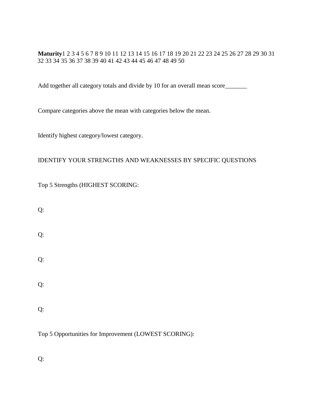**Maturity**1 2 3 4 5 6 7 8 9 10 11 12 13 14 15 16 17 18 19 20 21 22 23 24 25 26 27 28 29 30 31 32 33 34 35 36 37 38 39 40 41 42 43 44 45 46 47 48 49 50

Add together all category totals and divide by 10 for an overall mean score\_\_\_\_\_\_

Compare categories above the mean with categories below the mean.

Identify highest category/lowest category.

## IDENTIFY YOUR STRENGTHS AND WEAKNESSES BY SPECIFIC QUESTIONS

Top 5 Strengths (HIGHEST SCORING:

Q:

Q:

Q:

Q:

Q:

Top 5 Opportunities for Improvement (LOWEST SCORING):

Q: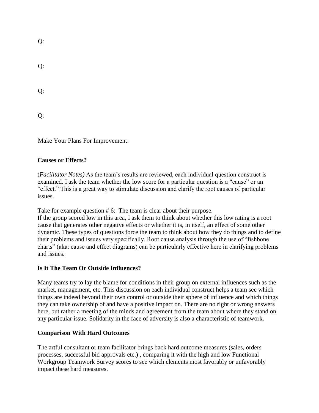Q:

| . .           |  |
|---------------|--|
| i<br>۰.<br>۰, |  |
| Х,<br>75      |  |

Q:

 $O:$ 

Make Your Plans For Improvement:

## **Causes or Effects?**

(*Facilitator Notes)* As the team's results are reviewed, each individual question construct is examined. I ask the team whether the low score for a particular question is a "cause" or an "effect." This is a great way to stimulate discussion and clarify the root causes of particular issues.

Take for example question #6: The team is clear about their purpose.

If the group scored low in this area, I ask them to think about whether this low rating is a root cause that generates other negative effects or whether it is, in itself, an effect of some other dynamic. These types of questions force the team to think about how they do things and to define their problems and issues very specifically. Root cause analysis through the use of "fishbone charts" (aka: cause and effect diagrams) can be particularly effective here in clarifying problems and issues.

## **Is It The Team Or Outside Influences?**

Many teams try to lay the blame for conditions in their group on external influences such as the market, management, etc. This discussion on each individual construct helps a team see which things are indeed beyond their own control or outside their sphere of influence and which things they can take ownership of and have a positive impact on. There are no right or wrong answers here, but rather a meeting of the minds and agreement from the team about where they stand on any particular issue. Solidarity in the face of adversity is also a characteristic of teamwork.

## **Comparison With Hard Outcomes**

The artful consultant or team facilitator brings back hard outcome measures (sales, orders processes, successful bid approvals etc.) , comparing it with the high and low Functional Workgroup Teamwork Survey scores to see which elements most favorably or unfavorably impact these hard measures.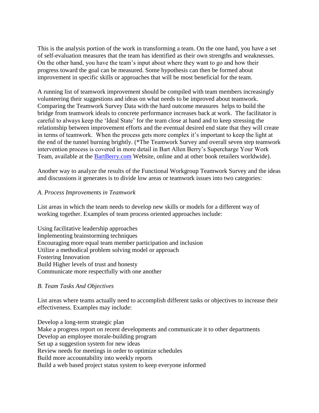This is the analysis portion of the work in transforming a team. On the one hand, you have a set of self-evaluation measures that the team has identified as their own strengths and weaknesses. On the other hand, you have the team's input about where they want to go and how their progress toward the goal can be measured. Some hypothesis can then be formed about improvement in specific skills or approaches that will be most beneficial for the team.

A running list of teamwork improvement should be compiled with team members increasingly volunteering their suggestions and ideas on what needs to be improved about teamwork. Comparing the Teamwork Survey Data with the hard outcome measures helps to build the bridge from teamwork ideals to concrete performance increases back at work. The facilitator is careful to always keep the 'Ideal State' for the team close at hand and to keep stressing the relationship between improvement efforts and the eventual desired end state that they will create in terms of teamwork. When the process gets more complex it's important to keep the light at the end of the tunnel burning brightly. (\*The Teamwork Survey and overall seven step teamwork intervention process is covered in more detail in Bart Allen Berry's Supercharge Your Work Team, available at the [BartBerry.com](http://www.bartberry.com/) Website, online and at other book retailers worldwide).

Another way to analyze the results of the Functional Workgroup Teamwork Survey and the ideas and discussions it generates is to divide low areas or teamwork issues into two categories:

#### *A. Process Improvements in Teamwork*

List areas in which the team needs to develop new skills or models for a different way of working together. Examples of team process oriented approaches include:

Using facilitative leadership approaches Implementing brainstorming techniques Encouraging more equal team member participation and inclusion Utilize a methodical problem solving model or approach Fostering Innovation Build Higher levels of trust and honesty Communicate more respectfully with one another

#### *B. Team Tasks And Objectives*

List areas where teams actually need to accomplish different tasks or objectives to increase their effectiveness. Examples may include:

Develop a long-term strategic plan Make a progress report on recent developments and communicate it to other departments Develop an employee morale-building program Set up a suggestion system for new ideas Review needs for meetings in order to optimize schedules Build more accountability into weekly reports Build a web based project status system to keep everyone informed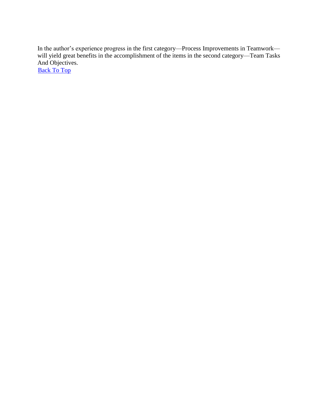In the author's experience progress in the first category—Process Improvements in Teamwork will yield great benefits in the accomplishment of the items in the second category—Team Tasks And Objectives.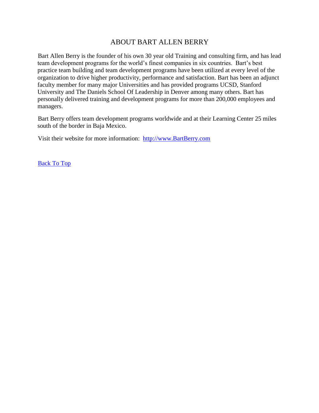## ABOUT BART ALLEN BERRY

<span id="page-61-0"></span>Bart Allen Berry is the founder of his own 30 year old Training and consulting firm, and has lead team development programs for the world's finest companies in six countries. Bart's best practice team building and team development programs have been utilized at every level of the organization to drive higher productivity, performance and satisfaction. Bart has been an adjunct faculty member for many major Universities and has provided programs UCSD, Stanford University and The Daniels School Of Leadership in Denver among many others. Bart has personally delivered training and development programs for more than 200,000 employees and managers.

Bart Berry offers team development programs worldwide and at their Learning Center 25 miles south of the border in Baja Mexico.

Visit their website for more information: [http://www.BartBerry.com](http://www.bartberry.com/)